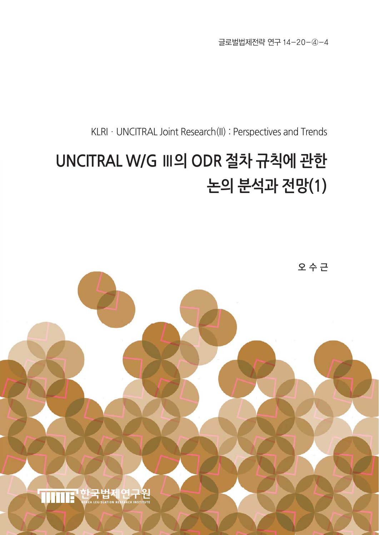글로벌법제전략 연구 14-20-④-4

KLRI · UNCITRAL Joint Research(II) : Perspectives and Trends

# **UNCITRAL W/G Ⅲ의 ODR 절차 규칙에 관한 논의 분석과 전망(1)**

오 수 근

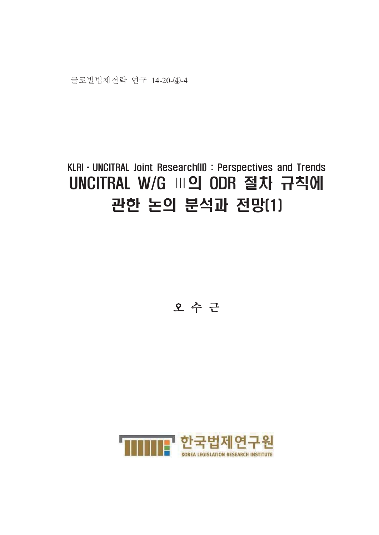## KLRI · UNCITRAL Joint Research(II) : Perspectives and Trends UNCITRAL W/G M의 ODR 절차 규칙에 관한 논의 분석과 전망[1]

오수근

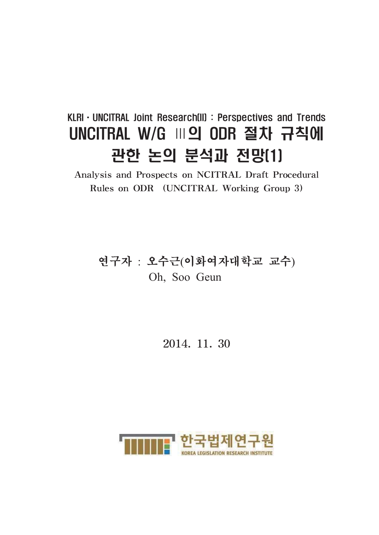## KLRI · UNCITRAL Joint Research(II): Perspectives and Trends UNCITRAL W/G M의 ODR 절차 규칙에 관한 논의 분석과 전망[1]

Analysis and Prospects on NCITRAL Draft Procedural Rules on ODR (UNCITRAL Working Group 3)

## 연구자 : 오수근(이화여자대학교 교수) Oh, Soo Geun

### 2014, 11, 30

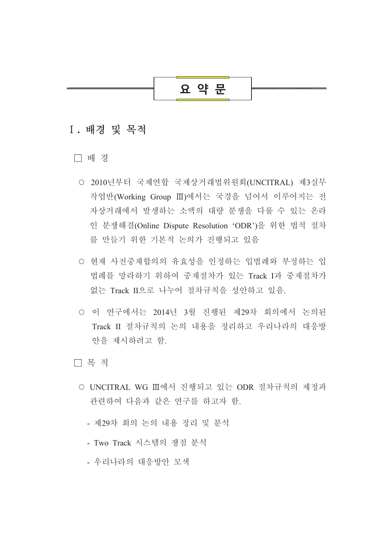### 요 약 문

### I. 배경 및 목적

□ 배 경

- 2010년부터 국제연합 국제상거래법위원회(UNCITRAL) 제3실무 작업반(Working Group Ⅲ)에서는 국경을 넘어서 이루어지는 전 자상거래에서 발생하는 소액의 대량 분쟁을 다룰 수 있는 온라 인 분쟁해결(Online Dispute Resolution 'ODR')을 위한 법적 절차 를 만들기 위한 기본적 논의가 진행되고 있음
- 현재 사전중재합의의 유효성을 인정하는 입법례와 부정하는 입 법례를 망라하기 위하여 중재절차가 있는 Track I과 중재절차가 없는 Track II으로 나누어 절차규칙을 성안하고 있음
- 이 연구에서는 2014년 3월 진행된 제29차 회의에서 논의된 Track II 절차규칙의 논의 내용을 정리하고 우리나라의 대응방 안을 제시하려고 함.
- □ 목 적
	- UNCITRAL WG Ⅲ에서 진행되고 있는 ODR 절차규칙의 제정과 관련하여 다음과 같은 연구를 하고자 함.
		- 제29차 회의 논의 내용 정리 및 분석
		- Two Track 시스템의 쟁점 분석
		- 우리나라의 대응방안 모색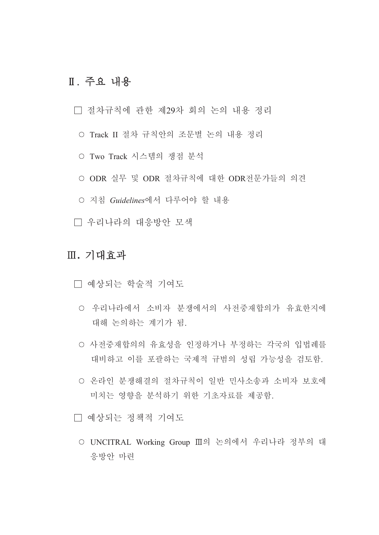### Ⅱ. 주요 내용

□ 절차규칙에 관한 제29차 회의 논의 내용 정리

- Track II 절차 규칙안의 조문별 논의 내용 정리
- Two Track 시스템의 쟁점 분석
- ODR 실무 및 ODR 절차규칙에 대한 ODR전문가들의 의견
- 지침 Guidelines에서 다루어야 할 내용
- □ 우리나라의 대응방안 모색

### Ⅲ. 기대효과

□ 예상되는 학술적 기여도

- 우리나라에서 소비자 분쟁에서의 사전중재합의가 유효한지에 대해 논의하는 계기가 됨.
- 사전중재합의의 유효성을 인정하거나 부정하는 각국의 입법례를 대비하고 이를 포괄하는 국제적 규범의 성립 가능성을 검토함.
- 온라인 부쟁해결의 절차규칙이 일반 민사소송과 소비자 보호에 미치는 영향을 분석하기 위한 기초자료를 제공함.

□ 예상되는 정책적 기여도

○ UNCITRAL Working Group Ⅲ의 논의에서 우리나라 정부의 대 응방안 마련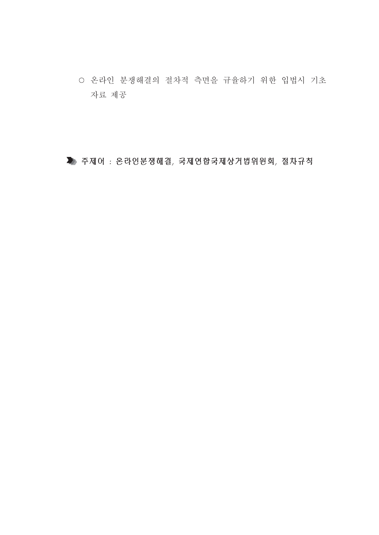○ 온라인 분쟁해결의 절차적 측면을 규율하기 위한 입법시 기초 자료 제공

▶ 주제어: 온라인분쟁해결, 국제연합국제상거법위원회, 절차규칙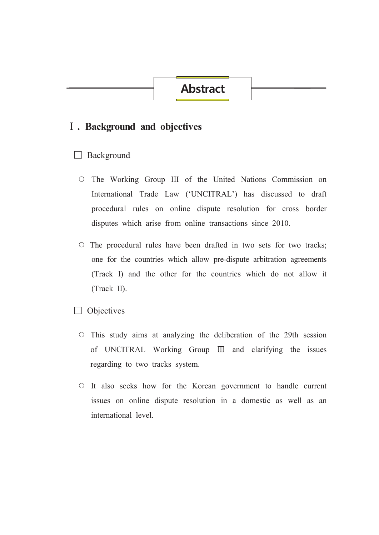### **Abstract**

### I . Background and objectives

#### $\Box$  Background

- O The Working Group III of the United Nations Commission on International Trade Law ('UNCITRAL') has discussed to draft procedural rules on online dispute resolution for cross border disputes which arise from online transactions since 2010.
- $\circ$  The procedural rules have been drafted in two sets for two tracks; one for the countries which allow pre-dispute arbitration agreements (Track I) and the other for the countries which do not allow it (Track II).

**Objectives** 

- $\circ$  This study aims at analyzing the deliberation of the 29th session of UNCITRAL Working Group III and clarifying the issues regarding to two tracks system.
- It also seeks how for the Korean government to handle current issues on online dispute resolution in a domestic as well as an international level.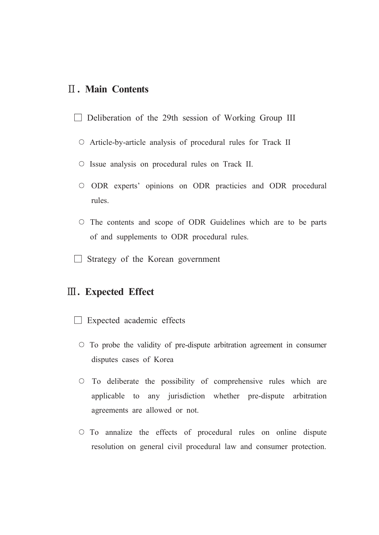### **II. Main Contents**

- $\Box$  Deliberation of the 29th session of Working Group III
	- Article-by-article analysis of procedural rules for Track II
	- Issue analysis on procedural rules on Track II.
	- O ODR experts' opinions on ODR practicies and ODR procedural rules.
	- $\circ$  The contents and scope of ODR Guidelines which are to be parts of and supplements to ODR procedural rules.
- $\Box$  Strategy of the Korean government

### **III.** Expected Effect

- $\Box$  Expected academic effects
	- $\circ$  To probe the validity of pre-dispute arbitration agreement in consumer disputes cases of Korea
	- O To deliberate the possibility of comprehensive rules which are applicable to any jurisdiction whether pre-dispute arbitration agreements are allowed or not.
	- $\circ$  To annalize the effects of procedural rules on online dispute resolution on general civil procedural law and consumer protection.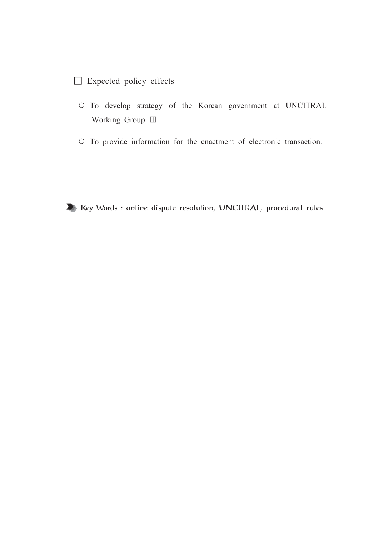### $\Box$  Expected policy effects

- O To develop strategy of the Korean government at UNCITRAL Working Group III
- To provide information for the enactment of electronic transaction.

X Key Words : online dispute resolution, UNCITRAL, procedural rules.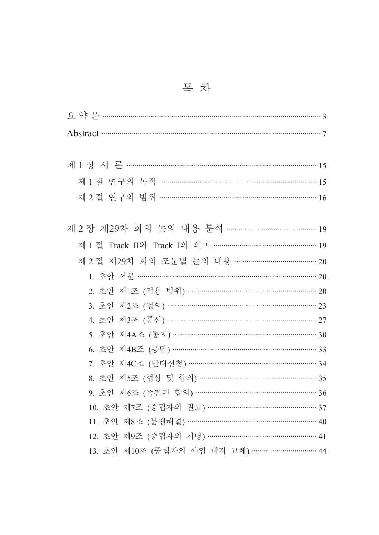| Abstract 37                                 |
|---------------------------------------------|
|                                             |
| 제 1 장 서 론 ……………………………………………………………………………… 15 |
| 제 1 절 연구의 목적 ……………………………………………………………… 15    |
| 제 2 절 연구의 범위 ………………………………………………………………… 16   |
|                                             |
|                                             |
|                                             |
| 제 2 절 제29차 회의 조문별 논의 내용 …………………………………… 20   |
|                                             |
| 2. 초안 제1조 (적용 범위) ……………………………………………………… 20  |
| 3. 초안 제2조 (정의) …………………………………………………………… 23   |
| 4. 초안 제3조 (통신) ………………………………………………………… 27    |
|                                             |
|                                             |
| 7. 초안 제4C조 (반대신청) ………………………………………………… 34    |
| 8. 초안 제5조 (협상 및 합의) ……………………………………………… 35   |
| 9. 초안 제6조 (촉진된 합의) …………………………………………………… 36  |
| 10. 초안 제7조 (중립자의 권고) …………………………………………… 37   |
| 11. 초안 제8조 (분쟁해결) ……………………………………………………… 40  |
| 12. 초안 제9조 (중립자의 지명) …………………………………………… 41   |
| 13. 초안 제10조 (중립자의 사임 내지 교체) …………………………… 44  |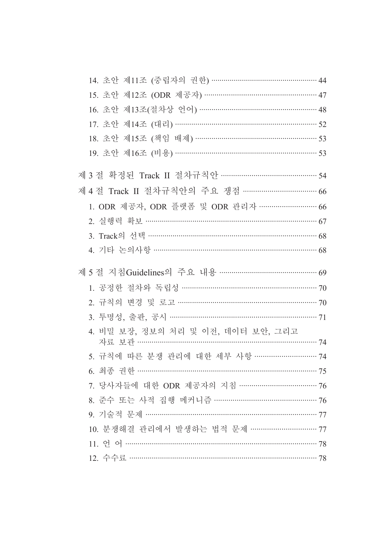| 14. 초안 제11조 (중립자의 권한) …………………………………………… 44    |  |
|-----------------------------------------------|--|
| 15. 초안 제12조 (ODR 제공자) …………………………………………… 47    |  |
| 16. 초안 제13조(절차상 언어) ………………………………………………… 48    |  |
| 17. 초안 제14조 (대리) …………………………………………………………… 52   |  |
| 18. 초안 제15조 (책임 배제) ………………………………………………… 53    |  |
| 19. 초안 제16조 (비용) …………………………………………………………… 53   |  |
| 제 3 절 확정된 Track II 절차규칙안 ………………………………………… 54  |  |
| 제4절 Track II 절차규칙안의 주요 쟁점 ……………………………………66    |  |
| 1. ODR 제공자, ODR 플랫폼 및 ODR 관리자 ……………………… 66    |  |
| 2. 실행력 확보 …………………………………………………………………… 67       |  |
|                                               |  |
| 4. 기타 논의사항 ……………………………………………………………… 68        |  |
| 제 5 절 지침Guidelines의 주요 내용 ………………………………………… 69 |  |
|                                               |  |
| 1. 공정한 절차와 독립성 ……………………………………………………… 70       |  |
| 2. 규칙의 변경 및 로고 ………………………………………………………… 70      |  |
| 3. 투명성, 출판, 공시 ………………………………………………………… 71      |  |
| 4. 비밀 보장, 정보의 처리 및 이전, 데이터 보안, 그리고            |  |
| 자료 보관 ……………………………………………………………………… 74          |  |
| 5. 규칙에 따른 분쟁 관리에 대한 세부 사항 ……………………… 74        |  |
| 6. 최종 권한 …………………………………………………………………… 75        |  |
| 7. 당사자들에 대한 ODR 제공자의 지침 ……………………………… 76       |  |
| 8. 준수 또는 사적 집행 메커니즘 ……………………………………… 76        |  |
| 9. 기술적 문제 ………………………………………………………………… 77        |  |
| 10. 분쟁해결 관리에서 발생하는 법적 문제 ………………………… 77        |  |
|                                               |  |
|                                               |  |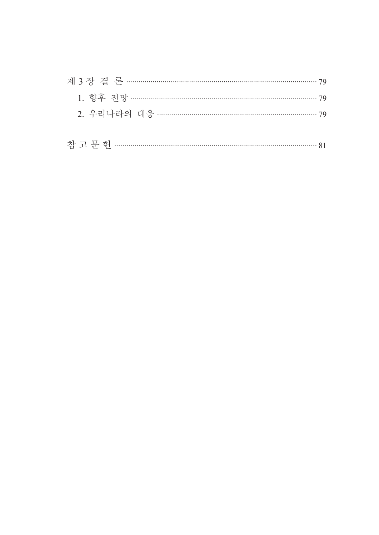| $\overline{\phantom{a}}$ |  |  |  |  |  |
|--------------------------|--|--|--|--|--|
|--------------------------|--|--|--|--|--|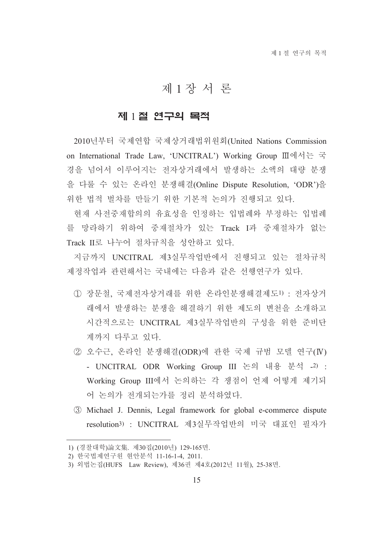### 제1장서론

### 제 1절 연구의 목적

2010년부터 국제연합 국제상거래법위원회(United Nations Commission on International Trade Law, 'UNCITRAL') Working Group Ⅲ에서는 국 경을 넘어서 이루어지는 전자상거래에서 발생하는 소액의 대량 분쟁 을 다룰 수 있는 온라인 분쟁해결(Online Dispute Resolution, 'ODR')을 위한 법적 벌차를 만들기 위한 기본적 논의가 진행되고 있다.

현재 사전중재합의의 유효성을 인정하는 입법례와 부정하는 입법례 를 망라하기 위하여 중재절차가 있는 Track I과 중재절차가 없는 Track II로 나누어 절차규칙을 성안하고 있다.

지금까지 UNCITRAL 제3실무작업반에서 진행되고 있는 절차규칙 제정작업과 관련해서는 국내에는 다음과 같은 선행연구가 있다.

- (1) 장문철. 국제전자상거래를 위한 온라인분쟁해결제도1) : 전자상거 래에서 발생하는 분쟁을 해결하기 위한 제도의 변천을 소개하고 시간적으로는 UNCITRAL 제3실무작업반의 구성을 위한 준비단 계까지 다루고 있다.
- 2 오수근. 온라인 분쟁해결(ODR)에 관한 국제 규범 모델 연구(IV) - UNCITRAL ODR Working Group III 논의 내용 분석 -2) : Working Group III에서 논의하는 각 쟁점이 언제 어떻게 제기되 어 논의가 전개되는가를 정리 분석하였다.
- 3 Michael J. Dennis, Legal framework for global e-commerce dispute resolution3) : UNCITRAL 제3실무작업반의 미국 대표인 필자가

<sup>1) (</sup>경찰대학)論文集. 제30집(2010년) 129-165면.

<sup>2)</sup> 한국법제연구워 현안분석 11-16-1-4, 2011.

<sup>3)</sup> 외법논집(HUFS Law Review), 제36권 제4호(2012년 11월), 25-38면.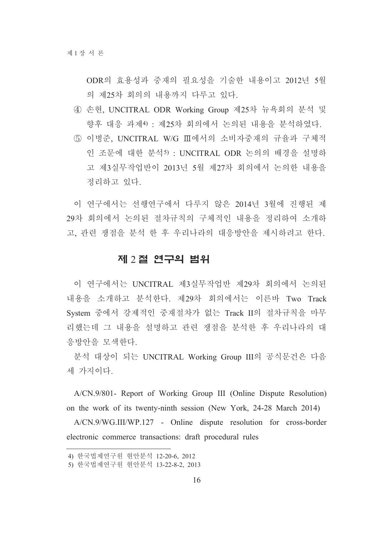ODR의 효용성과 중재의 필요성을 기술한 내용이고 2012년 5월 의 제25차 회의의 내용까지 다루고 있다.

- 4) 손현, UNCITRAL ODR Working Group 제25차 뉴욕회의 분석 및 향후 대응 과제4) : 제25차 회의에서 논의된 내용을 분석하였다.
- 5 이병준, UNCITRAL W/G Ⅲ에서의 소비자중재의 규율과 구체적 인 조문에 대한 분석5) : UNCITRAL ODR 논의의 배경을 설명하 고 제3실무작업반이 2013년 5월 제27차 회의에서 논의한 내용을 정리하고 있다.

이 연구에서는 선행연구에서 다루지 않은 2014년 3월에 진행된 제 29차 회의에서 논의된 절차규칙의 구체적인 내용을 정리하여 소개하 고, 관련 쟁점을 분석 한 후 우리나라의 대응방안을 제시하려고 한다.

#### 제 2절 연구의 범위

이 연구에서는 UNCITRAL 제3실무작업반 제29차 회의에서 논의된 내용을 소개하고 분석한다. 제29차 회의에서는 이른바 Two Track System 중에서 강제적인 중재절차가 없는 Track II의 절차규칙을 마무 리했는데 그 내용을 설명하고 관련 쟁점을 분석한 후 우리나라의 대 응방안을 모색한다.

분석 대상이 되는 UNCITRAL Working Group III의 공식문건은 다음 세 가지이다.

A/CN.9/801- Report of Working Group III (Online Dispute Resolution) on the work of its twenty-ninth session (New York, 24-28 March 2014)

A/CN.9/WG.III/WP.127 - Online dispute resolution for cross-border electronic commerce transactions: draft procedural rules

<sup>4)</sup> 한국법제연구워 현안부석 12-20-6, 2012

<sup>5)</sup> 한국법제연구원 현안분석 13-22-8-2, 2013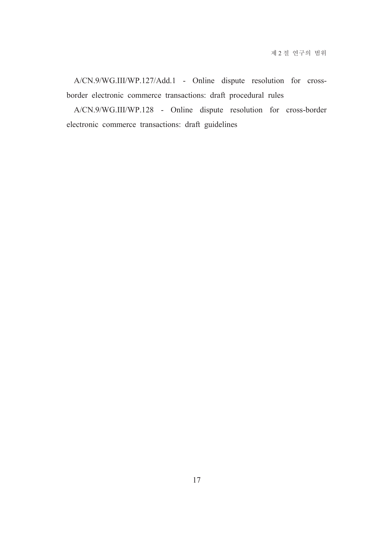A/CN.9/WG.III/WP.127/Add.1 - Online dispute resolution for crossborder electronic commerce transactions: draft procedural rules

A/CN.9/WG.III/WP.128 - Online dispute resolution for cross-border electronic commerce transactions: draft guidelines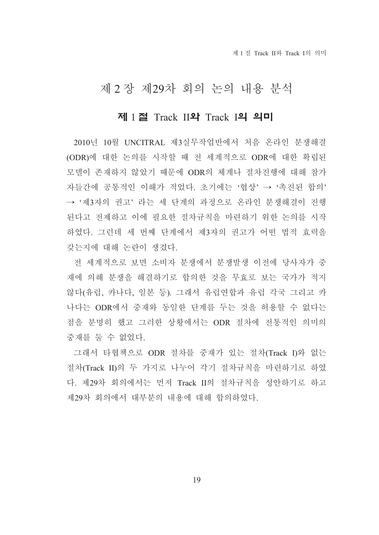제 1 절 Track II와 Track I의 의미

### 제 2 장 제29차 회의 논의 내용 분석

### 제 1 절 Track II와 Track I의 의미

2010년 10월 UNCITRAL 제3실무작업반에서 처음 온라인 분쟁해결 (ODR)에 대한 논의를 시작할 때 전 세계적으로 ODR에 대한 확립된 모델이 존재하지 않았기 때문에 ODR의 체계나 절차진행에 대해 참가 자들간에 공통적인 이해가 적었다. 초기에는 '협상' → '촉진된 합의' → '제3자의 권고' 라는 세 단계의 과정으로 온라인 분쟁해결이 진행 된다고 전제하고 이에 필요한 절차규칙을 마련하기 위한 논의를 시작 하였다. 그런데 세 번째 단계에서 제3자의 권고가 어떤 법적 효력을 갖는지에 대해 논란이 생겼다.

전 세계적으로 보면 소비자 분쟁에서 분쟁발생 이전에 당사자가 중 재에 의해 분쟁을 해결하기로 합의한 것을 무효로 보는 국가가 적지 않다(유럽, 카나다, 일본 등). 그래서 유럽연합과 유럽 각국 그리고 카 나다는 ODR에서 중재와 동일한 단계를 두는 것을 허용할 수 없다는 점을 분명히 했고 그러한 상황에서는 ODR 절차에 전통적인 의미의 중재를 둘 수 없었다.

그래서 타협책으로 ODR 절차를 중재가 있는 절차(Track I)와 없는 절차(Track II)의 두 가지로 나누어 각기 절차규칙을 마련하기로 하였 다. 제29차 회의에서는 먼저 Track II의 절차규칙을 성안하기로 하고 제29차 회의에서 대부분의 내용에 대해 합의하였다.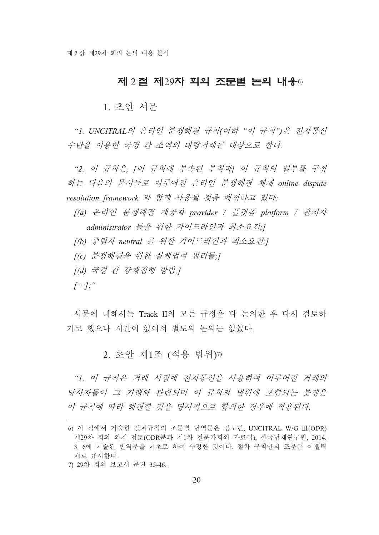#### 제 2 절 제29차 회의 조문별 논의 내용 6)

1. 초아 서문

"I. UNCITRAL의 온라인 분쟁해결 규칙(이하 "이 규칙")은 전자통신 수단을 이용한 국경 간 소액의 대량거래를 대상으로 한다.

"2. 이 규칙은, [이 규칙에 부속된 부칙과] 이 규칙의 일부를 구성 하는 다음의 문서들로 이루어진 온라인 분쟁해결 체제 online dispute resolution framework 와 함께 사용될 것을 예정하고 있다:

[(a) 온라인 분쟁해결 제공자 provider / 플랫폼 platform / 관리자 administrator 들을 위한 가이드라인과 최소요건!

[(b) 중립자 neutral 를 위한 가이드라인과 최소요건:]

[(c) 분쟁해결을 위한 실체법적 원리들:]

[(d) 국경 간 강재집행 방법;]

 $[\cdots]$ ; "

서문에 대해서는 Track II의 모든 규정을 다 논의한 후 다시 검토하 기로 했으나 시간이 없어서 별도의 논의는 없었다.

### 2. 초안 제1조 (적용 범위) 7)

"1. 이 규칙은 거래 시점에 전자통신을 사용하여 이루어진 거래의 당사자들이 그 거래와 관련되며 이 규칙의 범위에 포함되는 분쟁은 이 규칙에 따라 해결할 것을 명시적으로 합의한 경우에 적용된다.

<sup>6)</sup> 이 절에서 기술한 절차규칙의 조문별 번역문은 김도년, UNCITRAL W/G III(ODR) 제29차 회의 의제 검토(ODR분과 제1차 전문가회의 자료집), 한국법제연구원, 2014. 3. 6에 기술된 번역문을 기초로 하여 수정한 것이다. 절차 규칙안의 조문은 이탤릭 체로 퓨시하다

<sup>7) 29</sup>차 회의 보고서 문단 35-46.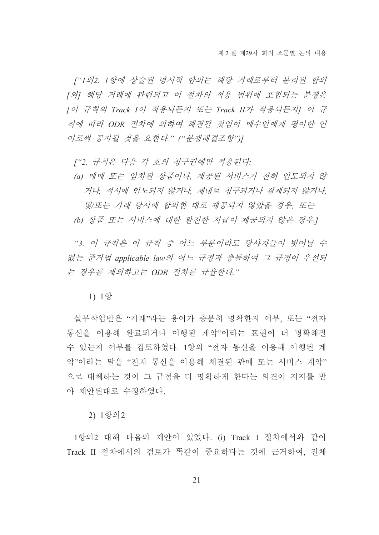["1의2. 1항에 상술된 명시적 합의는 해당 거래로부터 분리된 합의 [와] 해당 거래에 관련되고 이 절차의 적용 범위에 포함되는 분쟁은 [이 규칙의 Track I이 적용되든지 또는 Track II가 적용되든지] 이 규 칙에 따라 ODR 절차에 의하여 해결될 것임이 매수인에게 평이한 언 어로써 공지될 것을 요한다." ("분쟁해결조항")]

["2. 규칙은 다음 각 호의 청구권에만 적용된다:

(a) 매매 또는 임차된 상품이나, 제공된 서비스가 전혀 인도되지 않 거나, 적시에 인도되지 않거나, 제대로 청구되거나 결제되지 않거나. 및/또는 거래 당시에 합의한 대로 제공되지 않았을 경우: 또는 (b) 상품 또는 서비스에 대한 완전한 지급이 제공되지 않은 경우.]

"3. 이 규칙은 이 규칙 중 어느 부분이라도 당사자들이 벗어날 수 없는 준거법 applicable law의 어느 규정과 충돌하여 그 규정이 우선되 는 경우를 제외하고는 ODR 절차를 규율한다."

1) 1항

실무작업반은 "거래"라는 용어가 충분히 명확한지 여부, 또는 "전자 통신을 이용해 와료되거나 이행된 계약"이라는 표현이 더 명확해질 수 있는지 여부를 검토하였다. 1항의 "전자 통신을 이용해 이행된 계 약"이라는 말을 "전자 통신을 이용해 체결된 판매 또는 서비스 계약" 으로 대체하는 것이 그 규정을 더 명확하게 한다는 의견이 지지를 받 아 제안된대로 수정하였다.

2) 1항의2

1항의2 대해 다음의 제안이 있었다. (i) Track I 절차에서와 같이 Track II 절차에서의 검토가 똑같이 중요하다는 것에 근거하여, 전체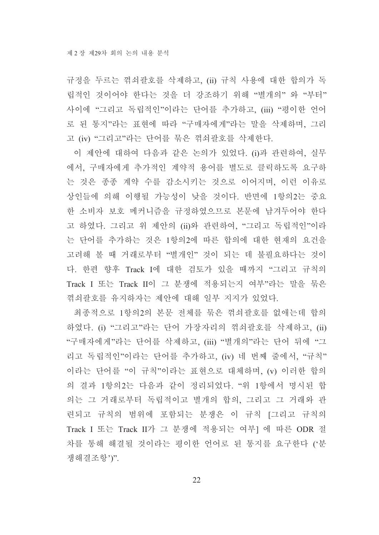규정을 두르는 꺾쇠괄호를 삭제하고, (ii) 규칙 사용에 대한 합의가 독 립적인 것이어야 한다는 것을 더 강조하기 위해 "별개의" 와 "부터" 사이에 "그리고 독립적인"이라는 단어를 추가하고, (iii) "평이한 언어 로 된 통지"라는 표현에 따라 "구매자에게"라는 말을 삭제하며, 그리 고 (iv) "그리고"라는 단어를 묶은 꺾쇠괄호를 삭제한다.

이 제안에 대하여 다음과 같은 논의가 있었다. (i)과 관련하여, 실무 에서, 구매자에게 추가적인 계약적 용어를 별도로 클릭하도록 요구하 는 것은 종종 계약 수를 감소시키는 것으로 이어지며, 이런 이유로 상인들에 의해 이행될 가능성이 낮을 것이다. 반면에 1항의2는 중요 한 소비자 보호 메커니즘을 규정하였으므로 본문에 남겨두어야 한다 고 하였다. 그리고 위 제안의 (ii)와 관련하여, "그리고 독립적인"이라 는 단어를 추가하는 것은 1항의2에 따른 합의에 대한 현재의 요건을 고려해 볼 때 거래로부터 "별개인" 것이 되는 데 불필요하다는 것이 다. 한편 향후 Track I에 대한 검토가 있을 때까지 "그리고 규칙의 Track I 또는 Track II이 그 분쟁에 적용되는지 여부"라는 말을 묶은 꺾쇠괄호를 유지하자는 제아에 대해 일부 지지가 있었다.

최종적으로 1항의2의 본문 전체를 묶은 꺾쇠괄호를 없애는데 합의 하였다. (i) "그리고"라는 단어 가장자리의 꺾쇠괄호를 삭제하고, (ii) "구매자에게"라는 단어를 삭제하고, (iii) "별개의"라는 단어 뒤에 "그 리고 독립적인"이라는 단어를 추가하고, (iv) 네 번째 줄에서, "규칙" 이라는 단어를 "이 규칙"이라는 표현으로 대체하며, (v) 이러한 합의 의 결과 1항의2는 다음과 같이 정리되었다. "위 1항에서 명시된 합 의는 그 거래로부터 독립적이고 별개의 합의, 그리고 그 거래와 관 련되고 규칙의 범위에 포함되는 분쟁은 이 규칙 [그리고 규칙의 Track I 또는 Track II가 그 분쟁에 적용되는 여부1 에 따른 ODR 절 차를 통해 해결될 것이라는 평이한 언어로 된 통지를 요구하다 ('분 쟁해결조항')"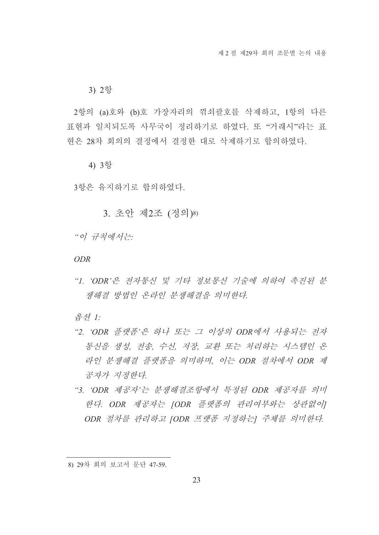3) 2항

2항의 (a)호와 (b)호 가장자리의 꺾쇠괄호를 삭제하고, 1항의 다른 표현과 일치되도록 사무국이 정리하기로 하였다. 또 "거래시"라는 표 현은 28차 회의의 결정에서 결정한 대로 삭제하기로 합의하였다.

4) 3항

3항은 유지하기로 합의하였다.

3. 초안 제2조 (정의)8)

"이 규칙에서는

**ODR** 

"1. 'ODR'은 전자통신 및 기타 정보통신 기술에 의하여 촉진된 분 쟁해결 방법인 온라인 분쟁해결을 의미한다.

음셔 |

- "2. 'ODR 플랫폼'은 하나 또는 그 이상의 ODR에서 사용되는 전자 통신을 생성, 전송, 수신, 저장, 교환 또는 처리하는 시스템인 온 라인 분쟁해결 플랫폼을 의미하며, 이는 ODR 절차에서 ODR 제 공자가 지정한다.
- "3. 'ODR 제공자'는 분쟁해결조항에서 특정된 ODR 제공자를 의미 한다. ODR 제공자는 [ODR 플랫폼의 관리여부와는 상관없이] ODR 절차를 관리하고 IODR 프랫폼 지정하는 주체를 의미하다.

<sup>8) 29</sup>차 회의 보고서 문단 47-59.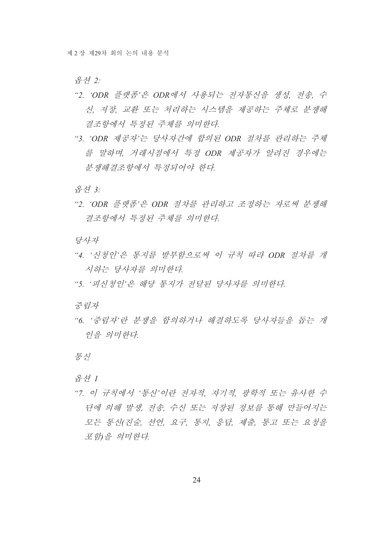음셔 2:

- "2. 'ODR 플랫폼'은 ODR에서 사용되는 전자통신을 생성, 전송, 수 신, 저장, 교환 또는 처리하는 시스템을 제공하는 주체로 분쟁해 결조항에서 특정된 주체를 의미한다.
- "3. 'ODR 제공자'는 당사자간에 합의된 ODR 절차를 관리하는 주체 를 말하며, 거래시점에서 특정 ODR 제공자가 알려진 경우에는 부쟁해결조항에서 특정되어야 한다.

음선 3:

"2. 'ODR 플랫폼'은 ODR 절차를 관리하고 조정하는 자로써 분쟁해 결조항에서 특정된 주체를 의미한다.

당사자

- "4. '신청인'은 통지를 발부함으로써 이 규칙 따라 ODR 절차를 개 시하는 당사자를 의미하다
- "5. '피신청인'은 해당 통지가 전달된 당사자를 의미한다.

중립자

"6. '중립자'란 분쟁을 합의하거나 해결하도록 당사자들을 돕는 개 인을 의미하다.

통신

음선 1

"7. 이 규칙에서 '통신'이란 전자적, 자기적, 광학적 또는 유사한 수 단에 의해 발생, 전송, 수신 또는 저장된 정보를 통해 만들어지는 모든 통신(진술, 선언, 요구, 통지, 응답, 제출, 통고 또는 요청을 포함을 의미하다.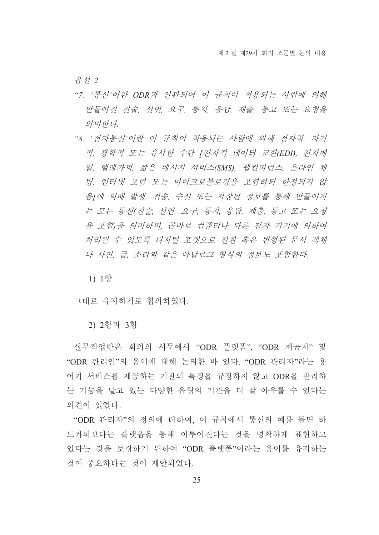음셔 2

- "7. '통신'이란 ODR과 연관되어 이 규칙이 적용되는 사람에 의해 만들어진 진술, 선언, 요구, 통지, 응답, 제출, 통고 또는 요청을 의미한다.
- "8. '전자통신'이란 이 규칙이 적용되는 사람에 의해 전자적, 자기 적, 광학적 또는 유사한 수단 [전자적 데이터 교환(EDI), 전자메 일, 텔레카피, 짧은 메시지 서비스(SMS), 웹컨퍼런스, 온라인 채 팅, 인터넷 포럼 또는 마이크로블로깅을 포함하되 한정되지 않 음1에 의해 발생, 전송, 수신 또는 저장된 정보를 통해 만들어지 는 모든 통신(진술, 선언, 요구, 통지, 응답, 제출, 통고 또는 요청 을 포함)을 의미하며, 곧바로 컴퓨터나 다른 전자 기기에 의하여 처리될 수 있도록 디지털 포맷으로 전화 혹은 변형된 문서 객체 나 사진, 글, 소리와 같은 아날로그 형식의 정보도 포함한다.

1) 1항

그대로 유지하기로 합의하였다.

2) 2항과 3항

실무작업반은 회의의 서두에서 "ODR 플랫폼". "ODR 제공자" 및 "ODR 관리인"의 용어에 대해 논의한 바 있다. "ODR 관리자"라는 용 어가 서비스를 제공하는 기관의 특징을 규정하지 않고 ODR을 관리하 는 기능을 맡고 있는 다양한 유형의 기관을 더 잘 아우를 수 있다는 의견이 있었다.

"ODR 관리자"의 정의에 더하여. 이 규칙에서 통신의 예를 들면 하 드카피보다는 플랫폼을 통해 이루어진다는 것을 명확하게 표현하고 있다는 것을 보장하기 위하여 "ODR 플랫폼"이라는 용어를 유지하는 것이 중요하다는 것이 제아되었다.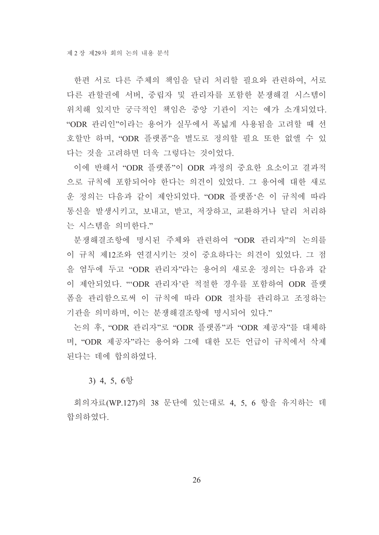한편 서로 다른 주체의 책임을 달리 처리할 필요와 관련하여, 서로 다른 관할권에 서버, 중립자 및 관리자를 포함한 분쟁해결 시스템이 위치해 있지만 궁극적인 책임은 중앙 기관이 지는 예가 소개되었다. "ODR 관리인"이라는 용어가 실무에서 폭넓게 사용됨을 고려할 때 선 호할만 하며, "ODR 플랫폼"을 별도로 정의할 필요 또한 없앨 수 있 다는 것을 고려하면 더욱 그렇다는 것이었다.

이에 반해서 "ODR 플랫폼"이 ODR 과정의 중요한 요소이고 결과적 으로 규칙에 포함되어야 한다는 의견이 있었다. 그 용어에 대한 새로 운 정의는 다음과 같이 제안되었다. "ODR 플랫폼'은 이 규칙에 따라 통신을 발생시키고, 보내고, 받고, 저장하고, 교환하거나 달리 처리하 는 시스템을 의미한다."

분쟁해결조항에 명시된 주체와 관련하여 "ODR 관리자"의 논의를 이 규칙 제12조와 연결시키는 것이 중요하다는 의견이 있었다. 그 점 을 엮두에 두고 "ODR 관리자"라는 용어의 새로운 정의는 다음과 같 이 제안되었다. "ODR 관리자'란 적절한 경우를 포함하여 ODR 플랫 폼을 관리함으로써 이 규칙에 따라 ODR 절차를 관리하고 조정하는 기관을 의미하며, 이는 분쟁해결조항에 명시되어 있다."

논의 후. "ODR 관리자"로 "ODR 플랫폼"과 "ODR 제공자"를 대체하 며, "ODR 제공자"라는 용어와 그에 대한 모든 언급이 규칙에서 삭제 된다는 데에 합의하였다.

3) 4, 5, 6항

회의자료(WP.127)의 38 문단에 있는대로 4. 5. 6 항을 유지하는 데 합의하였다.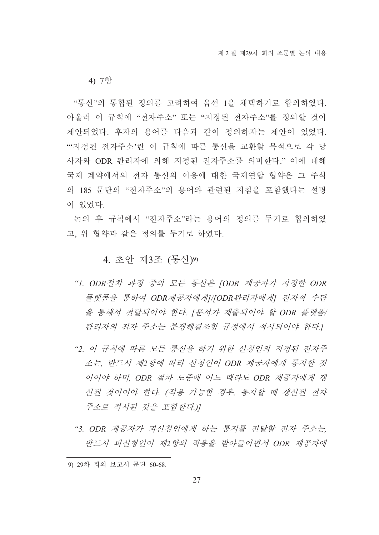4) 7항

"통신"의 통합된 정의를 고려하여 옵션 1을 채택하기로 합의하였다. 아울러 이 규칙에 "전자주소" 또는 "지정된 전자주소"를 정의할 것이 제안되었다. 후자의 용어를 다음과 같이 정의하자는 제안이 있었다. "시정된 전자주소'란 이 규칙에 따른 통신을 교환할 목적으로 각 당 사자와 ODR 관리자에 의해 지정된 전자주소를 의미한다." 이에 대해 국제 계약에서의 전자 통신의 이용에 대한 국제연합 협약은 그 주석 의 185 문단의 "전자주소"의 용어와 관련된 지침을 포함했다는 설명 이 있었다.

논의 후 규칙에서 "저자주소"라는 용어의 정의를 두기로 합의하였 고, 위 협약과 같은 정의를 두기로 하였다.

### 4. 초안 제3조 (통신)9)

- "1. ODR절차 과정 중의 모든 통신은 JODR 제공자가 지정한 ODR 플랫폼을 통하여 ODR제공자에게1/[ODR관리자에게] 전자적 수단 을 통해서 전달되어야 한다. [문서가 제출되어야 할 ODR 플랫폼/ 관리자의 전자 주소는 분쟁해결조항 규정에서 적시되어야 한다.]
- "2. 이 규칙에 따른 모든 통신을 하기 위한 신청인의 지정된 전자주 소는, 반드시 제2항에 따라 신청인이 ODR 제공자에게 통지한 것 이어야 하며, ODR 절차 도중에 어느 때라도 ODR 제공자에게 갱 신된 것이어야 한다. (적용 가능한 경우, 통지할 때 갱신된 전자 주소로 적시된 것을 포함한다.)
- "3. ODR 제공자가 피신청인에게 하는 통지를 전달할 전자 주소는 반드시 피신청인이 제2항의 적용을 받아들이면서 ODR 제공자에

<sup>9) 29</sup>차 회의 보고서 문단 60-68.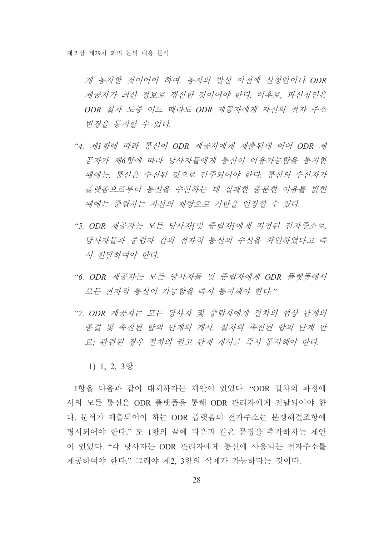게 통지한 것이어야 하며, 통지의 발신 이전에 신청인이나 ODR 제공자가 최신 정보로 갱신한 것이어야 한다. 이후로, 피신청인은 ODR 절차 도중 어느 때라도 ODR 제공자에게 자신의 전자 주소 변경을 통지할 수 있다.

- "4. 제1항에 따라 통신이 ODR 제공자에게 제출되데 이어 ODR 제 공자가 제6항에 따라 당사자들에게 통신이 이용가능함을 통지한 때에는, 통신은 수신된 것으로 간주되어야 한다. 통신의 수신자가 플랫폼으로부터 통신을 수신하는 데 실패한 충분한 이유를 밝힌 때에는 중립자는 자신의 재량으로 기한을 연장할 수 있다.
- "5. ODR 제공자는 모든 당사자/및 중립자/에게 지정된 전자주소로 당사자들과 중립자 간의 전자적 통신의 수신을 확인하였다고 즉 시 전달하여야 한다.
- "6. ODR 제공자는 모든 당사자들 및 중립자에게 ODR 플랫폼에서 모든 전자적 통신이 가능함을 즉시 통지해야 한다."
- "7. ODR 제공자는 모든 당사자 및 중립자에게 절차의 협상 단계의 종결 및 촉진된 합의 단계의 개시: 절차의 촉진된 합의 단계 만 료: 관련된 경우 절차의 권고 단계 개시를 즉시 통지해야 한다.

1) 1, 2, 3항

1항을 다음과 같이 대체하자는 제안이 있었다. "ODR 절차의 과정에 서의 모든 통신은 ODR 플랫폼을 통해 ODR 관리자에게 전달되어야 한 다. 문서가 제출되어야 하는 ODR 플랫폼의 전자주소는 분쟁해결조항에 명시되어야 한다." 또 1항의 끝에 다음과 같은 문장을 추가하자는 제안 이 있었다. "각 당사자는 ODR 관리자에게 통신에 사용되는 전자주소를 제공하여야 한다." 그래야 제2. 3항의 삭제가 가능하다는 것이다.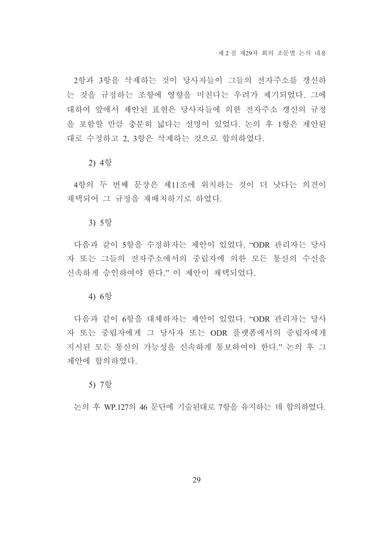2항과 3항을 삭제하는 것이 당사자들이 그들의 전자주소를 갱신하 는 것을 규정하는 조항에 영향을 미친다는 우려가 제기되었다. 그에 대하여 앞에서 제안된 표현은 당사자들에 의한 전자주소 갱신의 규정 을 포함할 만큼 충분히 넓다는 설명이 있었다. 논의 후 1항은 제안된 대로 수정하고 2.3항은 삭제하는 것으로 합의하였다.

#### 2) 4항

4항의 두 번째 문장은 제11조에 위치하는 것이 더 낫다는 의견이 채택되어 그 규정을 재배치하기로 하였다.

#### 3) 5항

다음과 같이 5항을 수정하자는 제안이 있었다. "ODR 관리자는 당사 자 또는 그들의 전자주소에서의 중립자에 의한 모든 통신의 수신을 신속하게 승인하여야 한다." 이 제안이 채택되었다.

#### 4) 6항

다음과 같이 6항을 대체하자는 제안이 있었다. "ODR 과리자는 당사 자 또는 중립자에게 그 당사자 또는 ODR 플랫폼에서의 중립자에게 지시된 모든 통신의 가능성을 신속하게 통보하여야 한다." 논의 후 그 제안에 합의하였다.

#### 5) 7항

논의 후 WP 127의 46 문단에 기술되대로 7항을 유지하는 데 합의하였다.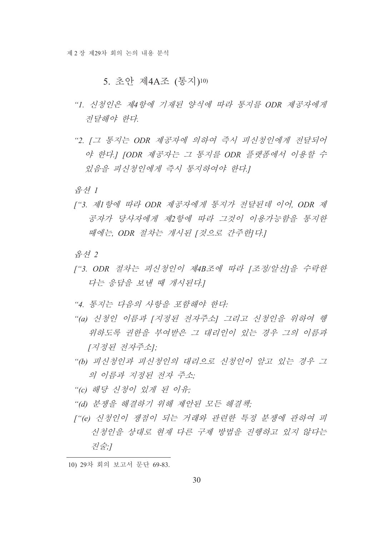### 5. 초안 제4A조 (통지)10)

- "1. 신청인은 제4항에 기재된 양식에 따라 통지를 ODR 제공자에게 전달해야 한다
- "2. [그 통지는 ODR 제공자에 의하여 즉시 피신청인에게 전달되어 야 한다.] [ODR 제공자는 그 통지를 ODR 플랫폼에서 이용할 수 있음을 피신청인에게 즉시 통지하여야 한다!

음선 1

["3. 제1항에 따라 ODR 제공자에게 통지가 전달된데 이어, ODR 제 공자가 당사자에게 제2 항에 따라 그것이 이용가능함을 통지한 때에는 ODR 절차는 개시된 [것으로 간주한]다.]

음셔 2

- ["3. ODR 절차는 피신청인이 제4B조에 따라 [조정/알선]을 수락한 다는 응답을 보내 때 개시된다.
- "4. 통지는 다음의 사항을 포함해야 한다:
- "(a) 신청인 이름과 [지정된 전자주소] 그리고 신청인을 위하여 행 위하도록 권한을 부여받은 그 대리인이 있는 경우 그의 이름과 [지정된 전자주소]:
- "(b) 피신청인과 피신청인의 대리으로 신청인이 알고 있는 경우 그 의 이름과 지정된 전자 주소:
- "(c) 해당 신청이 있게 된 이유:
- "(d) 분쟁을 해결하기 위해 제안된 모든 해결책;
- ["(e) 신청인이 쟁점이 되는 거래와 관련한 특정 분쟁에 관하여 피 신청인을 상대로 현재 다른 구제 방법을 진행하고 있지 않다는 진술:1

<sup>10) 29</sup>차 회의 보고서 문단 69-83.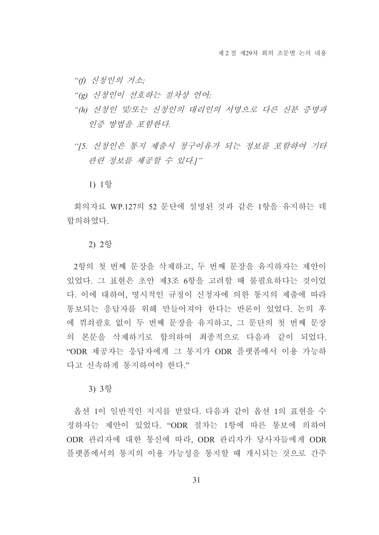"(f) 신청인의 거소:

- "(g) 신청인이 선호하는 절차상 언어;
- "(h) 신청인 및/또는 신청인의 대리인의 서명으로 다른 신부 증명과 인증 방법을 포함한다.
- "[5. 신청인은 통지 제출시 청구이유가 되는 정보를 포함하여 기타 관련 정보를 제공할 수 있다.]"

1) 1항

회의자료 WP.127의 52 문단에 설명된 것과 같은 1항을 유지하는 데 합의하였다.

#### 2) 2항

2항의 첫 번째 문장을 삭제하고, 두 번째 문장을 유지하자는 제안이 있었다. 그 표현은 초안 제3조 6항을 고려할 때 불필요하다는 것이었 다. 이에 대하여, 명시적인 규정이 신청자에 의한 통지의 제출에 따라 통보되는 응답자를 위해 만들어져야 한다는 반론이 있었다. 논의 후 에 꺾쇠괄호 없이 두 번째 문장을 유지하고, 그 문단의 첫 번째 문장 의 본문을 삭제하기로 합의하여 최종적으로 다음과 같이 되었다. "ODR 제공자는 응답자에게 그 통지가 ODR 플랫폼에서 이용 가능하 다고 신속하게 통지하여야 한다."

3) 3항

옵션 1이 일반적인 지지를 받았다. 다음과 같이 옵션 1의 표현을 수 정하자는 제안이 있었다. "ODR 절차는 1항에 따른 통보에 의하여 ODR 관리자에 대한 통신에 따라. ODR 관리자가 당사자들에게 ODR 플랫폼에서의 통지의 이용 가능성을 통지할 때 개시되는 것으로 간주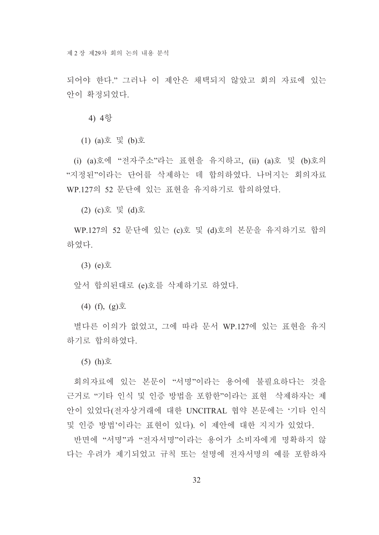되어야 하다" 그러나 이 제안은 채택되지 않았고 회의 자료에 있는 안이 확정되었다.

4) 4항

 $(1)$  (a)호 및 (b)호

(i) (a)호에 "전자주소"라는 표현을 유지하고, (ii) (a)호 및 (b)호의 "지정된"이라는 단어를 삭제하는 데 합의하였다. 나머지는 회의자료 WP.127의 52 문단에 있는 표현을 유지하기로 합의하였다.

(2) (c)호 및 (d)호

WP.127의 52 문단에 있는 (c)호 및 (d)호의 본문을 유지하기로 합의 하였다.

 $(3)$  (e) $\bar{\Sigma}$ 

앞서 합의된대로 (e)호를 삭제하기로 하였다.

 $(4)$  (f),  $(g)$  $\Sigma$ 

별다른 이의가 없었고. 그에 따라 문서 WP.127에 있는 표현을 유지 하기로 합의하였다.

 $(5)$   $(h)\bar{\mathfrak{D}}$ 

회의자료에 있는 본문이 "서명"이라는 용어에 불필요하다는 것을 근거로 "기타 인식 및 인증 방법을 포함한"이라는 표현 삭제하자는 제 안이 있었다(전자상거래에 대한 UNCITRAL 협약 본문에는 '기타 인식 및 인증 방법'이라는 표현이 있다). 이 제안에 대한 지지가 있었다.

반면에 "서명"과 "전자서명"이라는 용어가 소비자에게 명확하지 않 다는 우려가 제기되었고 규칙 또는 설명에 전자서명의 예를 포함하자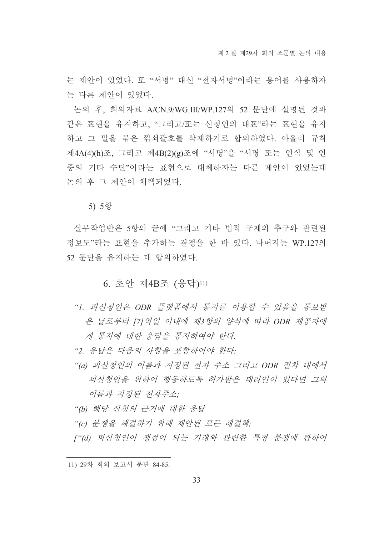는 제안이 있었다. 또 "서명" 대신 "전자서명"이라는 용어를 사용하자 는 다른 제안이 있었다.

논의 후, 회의자료 A/CN.9/WG.III/WP.127의 52 문단에 설명된 것과 같은 표현을 유지하고, "그리고/또는 신청인의 대표"라는 표현을 유지 하고 그 말을 묶은 꺾쇠괄호를 삭제하기로 합의하였다. 아울러 규칙 제4A(4)(h)조, 그리고 제4B(2)(g)조에 "서명"을 "서명 또는 인식 및 인 증의 기타 수단"이라는 표현으로 대체하자는 다른 제안이 있었는데 논의 후 그 제안이 채택되었다.

5) 5항

실무작업반은 5항의 끝에 "그리고 기타 법적 구제의 추구와 관련된 정보도"라는 표현을 추가하는 결정을 한 바 있다. 나머지는 WP.127의 52 문단을 유지하는 데 합의하였다.

6. 초안 제4B조 (응답)11)

- "1. 피신청인은 ODR 플랫폼에서 통지를 이용할 수 있음을 통보받 은 날로부터 [7] 역일 이내에 제3항의 양식에 따라 ODR 제공자에 게 통지에 대한 응답을 통지하여야 한다.
- "2. 응답은 다음의 사항을 포함하여야 한다.
- "(a) 피신청인의 이름과 지정된 전자 주소 그리고 ODR 절차 내에서 피신청인을 위하여 행동하도록 허가받은 대리인이 있다면 그의 이름과 지정된 전자주소:
- "(b) 해당 신청의 근거에 대한 응답
- "(c) 분쟁을 해결하기 위해 제안된 모든 해결책;
- ["(d) 피신청인이 쟁점이 되는 거래와 관련한 특정 분쟁에 관하여

<sup>11) 29</sup>차 회의 보고서 문단 84-85.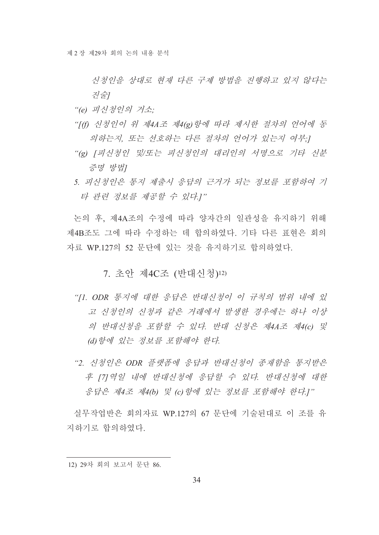신청인을 상대로 현재 다른 구제 방법을 진행하고 있지 않다는 진술]

- "(e) 피신청인의 거소:
- "[(f) 신청인이 위 제4A조 제4(g) 항에 따라 제시한 절차의 언어에 동 의하는지, 또는 선호하는 다른 절차의 언어가 있는지 여부!
- "(g) [피신청인 및/또는 피신청인의 대리인의 서명으로 기타 신분 증명 방법I
- 5. 피신청인은 통지 제출시 응답의 근거가 되는 정보를 포함하여 기 타 관련 정보를 제공할 수 있다.]"

논의 후, 제4A조의 수정에 따라 양자간의 일관성을 유지하기 위해 제4B조도 그에 따라 수정하는 데 합의하였다 기타 다른 표현은 회의 자료 WP.127의 52 문단에 있는 것을 유지하기로 합의하였다.

### 7. 초안 제4C조 (반대신청)12)

- "Il. ODR 통지에 대한 응답은 반대신청이 이 규칙의 범위 내에 있 고 신청인의 신청과 같은 거래에서 발생한 경우에는 하나 이상 의 반대신청을 포함할 수 있다. 반대 신청은 제4A조 제4(c) 및 (d) 항에 있는 정보를 포함해야 한다.
- "2. 신청인은 ODR 플랫폼에 응답과 반대신청이 종재함을 통지받은 후 [7] 역일 내에 반대신청에 응답할 수 있다. 반대신청에 대한 응답은 제4조 제4(b) 및 (c) 항에 있는 정보를 포함해야 한다.]"

실무작업반은 회의자료 WP.127의 67 문단에 기술된대로 이 조를 유 지하기로 합의하였다.

<sup>12) 29</sup>차 회의 보고서 문단 86.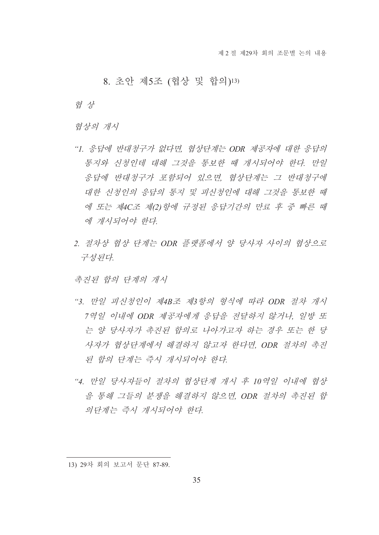### 8. 초안 제5조 (협상 및 합의)13)

협 상

협상의 개시

- "1. 응답에 반대청구가 없다면, 협상단계는 ODR 제공자에 대한 응답의 통지와 신청인데 대해 그것을 통보한 때 개시되어야 한다. 만일 응답에 반대청구가 포함되어 있으면 협상단계는 그 반대청구에 대한 신청인의 응답의 통지 및 피신청인에 대해 그것을 통보한 때 에 또는 제4C조 제(2) 항에 규정된 응답기간의 만료 후 중 빠른 때 에 개시되어야 한다.
- 2. 절차상 협상 단계는 ODR 플랫폼에서 양 당사자 사이의 협상으로 구성된다.

촉진된 합의 단계의 개시

- "3. 만일 피신청인이 제4B조 제3항의 형식에 따라 ODR 절차 개시 7역일 이내에 ODR 제공자에게 응답을 전달하지 않거나, 일방 또 는 양 당사자가 촉진된 합의로 나아가고자 하는 경우 또는 한 당 사자가 협상단계에서 해결하지 않고자 한다면, ODR 절차의 촉진 된 함의 단계는 즉시 개시되어야 한다.
- "4. 만일 당사자들이 절차의 협상단계 개시 후 10역일 이내에 협상 을 통해 그들의 분쟁을 해결하지 않으면 ODR 절차의 촉진된 합 의단계는 즉시 개시되어야 한다.

<sup>13) 29</sup>차 회의 보고서 문단 87-89.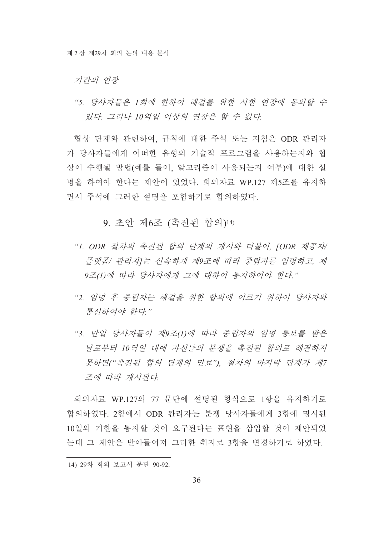기간의 여장

"5. 당사자들은 1회에 한하여 해결를 위한 시한 연장에 동의할 수 있다. 그러나 10역일 이상의 여장은 할 수 없다.

협상 단계와 관련하여 규칙에 대한 주석 또는 지침은 ODR 관리자 가 당사자들에게 어떠한 유형의 기술적 프로그램을 사용하는지와 협 상이 수행될 방법(예를 들어, 알고리즘이 사용되는지 여부)에 대한 설 명을 하여야 한다는 제안이 있었다. 회의자료 WP.127 제5조를 유지하 면서 주석에 그러한 설명을 포함하기로 합의하였다.

9. 초안 제6조 (촉진된 합의)14)

- "1. ODR 절차의 촉진된 합의 단계의 개시와 더불어, JODR 제공자/ 플랫폼/ 관리자]는 신속하게 제9조에 따라 중립자를 임명하고, 제 9조(1)에 따라 당사자에게 그에 대하여 통지하여야 하다."
- "2 임명 후 중립자는 해결을 위한 함의에 이르기 위하여 당사자와 통신하여야 한다."
- "3. 만일 *당사자들이 제9조(1)에 따라 중립자의 임명 통보를 받은* 날로부터 10역일 내에 자신들의 분쟁을 촉진된 합의로 해결하지 못하면("촉진된 합의 단계의 만료"), 절차의 마지막 단계가 제7 조에 따라 개시된다.

회의자료 WP.127의 77 문단에 설명된 형식으로 1항을 유지하기로 합의하였다. 2항에서 ODR 관리자는 분쟁 당사자들에게 3항에 명시된 10일의 기한을 통지할 것이 요구된다는 표현을 삽입할 것이 제안되었 는데 그 제안은 받아들여져 그러한 취지로 3항을 변경하기로 하였다.

<sup>14) 29</sup>차 회의 보고서 문단 90-92.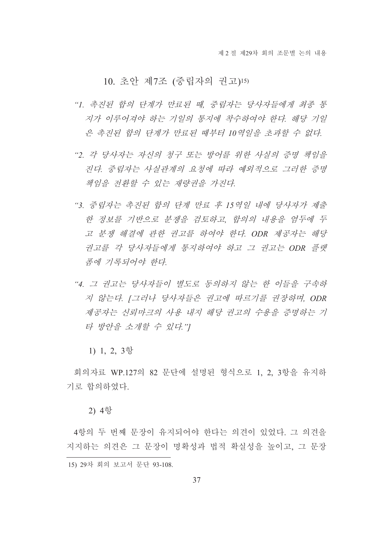### 10. 초안 제7조 (중립자의 권고)15)

- "1. 촉진된 함의 단계가 만료된 때, 중립자는 당사자들에게 최종 통 지가 이루어져야 하는 기일의 통지에 착수하여야 하다. 해당 기일 은 촉진된 함의 단계가 만료된 때부터 10역일을 초과할 수 없다.
- "2 각 당사자는 자신의 청구 또는 방어를 위한 사실의 증명 책임을 진다. 중립자는 사실관계의 요청에 따라 예외적으로 그러한 증명 책임을 전환할 수 있는 재량권을 가진다.
- "3. 중립자는 촉진된 합의 단계 만료 후 15역일 내에 당사자가 제출 한 정보를 기반으로 분쟁을 검토하고, 합의의 내용을 염두에 두 고 분쟁 해결에 관한 권고를 하여야 한다. ODR 제공자는 해당 권고를 각 당사자들에게 통지하여야 하고 그 권고는 ODR 플랫 폼에 기록되어야 한다.
- "4. 그 권고는 당사자들이 별도로 동의하지 않는 한 이들을 구속하 지 않는다. [그러나 당사자들은 권고에 따르기를 권장하며, ODR 제공자는 신뢰마크의 사용 내지 해당 권고의 수용을 증명하는 기 타 방안을 소개할 수 있다."]

1) 1, 2, 3항

회의자료 WP.127의 82 문단에 설명된 형식으로 1. 2. 3항을 유지하 기로 합의하였다.

#### 2) 4항

4항의 두 번째 문장이 유지되어야 한다는 의견이 있었다. 그 의견을 지지하는 의견은 그 문장이 명확성과 법적 확실성을 높이고, 그 문장 15) 29차 회의 보고서 문단 93-108.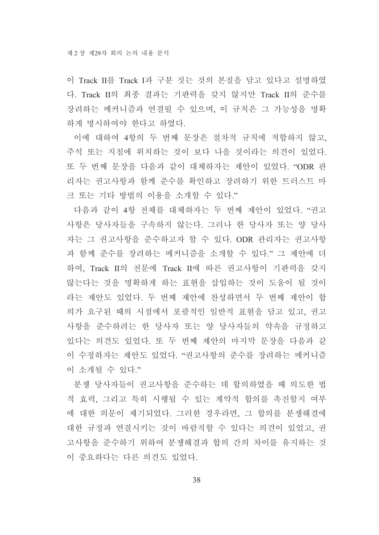이 Track II를 Track I과 구분 짓는 것의 본질을 담고 있다고 설명하였 다. Track II의 최종 결과는 기판력을 갖지 않지만 Track II의 준수를 장려하는 메커니즘과 연결될 수 있으며, 이 규칙은 그 가능성을 명확 하게 명시하여야 한다고 하였다.

이에 대하여 4항의 두 번째 문장은 절차적 규칙에 적합하지 않고, 주석 또는 지침에 위치하는 것이 보다 나을 것이라는 의견이 있었다. 또 두 번째 문장을 다음과 같이 대체하자는 제안이 있었다. "ODR 관 리자는 권고사항과 함께 준수를 확인하고 장려하기 위한 트러스트 마 크 또는 기타 방법의 이용을 소개할 수 있다."

다음과 같이 4항 전체를 대체하자는 두 번째 제안이 있었다. "권고 사항은 당사자들을 구속하지 않는다. 그러나 한 당사자 또는 양 당사 자는 그 권고사항을 준수하고자 할 수 있다. ODR 관리자는 권고사항 과 함께 준수를 장려하는 메커니즘을 소개할 수 있다." 그 제안에 더 하여, Track II의 전문에 Track II에 따른 권고사항이 기판력을 갖지 않는다는 것을 명확하게 하는 표현을 삽입하는 것이 도움이 될 것이 라는 제안도 있었다. 두 번째 제안에 차성하면서 두 번째 제안이 합 의가 요구된 때의 시점에서 포괄적인 일반적 표현을 담고 있고, 권고 사항을 준수하려는 한 당사자 또는 양 당사자들의 약속을 규정하고 있다는 의견도 있었다. 또 두 번째 제안의 마지막 문장을 다음과 같 이 수정하자는 제안도 있었다. "권고사항의 주수를 장려하는 메커니즘 이 소개될 수 있다."

분쟁 당사자들이 권고사항을 준수하는 데 합의하였을 때 의도한 법 적 효력, 그리고 특히 시행될 수 있는 계약적 합의를 촉진할지 여부 에 대한 의문이 제기되었다. 그러한 경우라면, 그 합의를 분쟁해결에 대한 규정과 연결시키는 것이 바람직할 수 있다는 의견이 있었고, 권 고사항을 주수하기 위하여 분쟁해결과 합의 간의 차이를 유지하는 것 이 중요하다는 다른 의견도 있었다.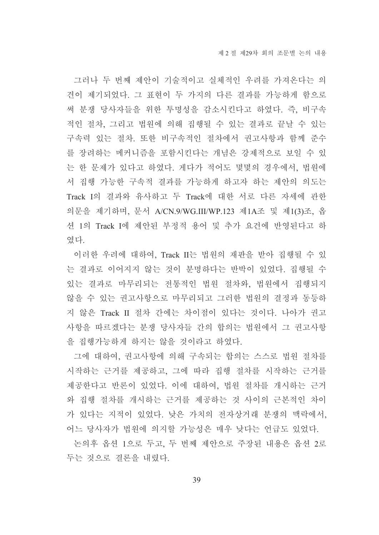그러나 두 번째 제안이 기술적이고 실체적인 우려를 가져온다는 의 견이 제기되었다. 그 표현이 두 가지의 다른 결과를 가능하게 함으로 써 분쟁 당사자들을 위한 투명성을 감소시킨다고 하였다. 즉, 비구속 적인 절차, 그리고 법원에 의해 집행될 수 있는 결과로 끝날 수 있는 구속력 있는 절차. 또한 비구속적인 절차에서 권고사항과 함께 준수 를 장려하는 메커니즘을 포함시킨다는 개념은 강제적으로 보일 수 있 는 한 문제가 있다고 하였다. 게다가 적어도 몇몇의 경우에서, 법원에 서 집행 가능한 구속적 결과를 가능하게 하고자 하는 제안의 의도는 Track I의 결과와 유사하고 두 Track에 대한 서로 다른 자세에 관한 의문을 제기하며, 문서 A/CN.9/WG.III/WP.123 제1A조 및 제1(3)조, 옵 션 1의 Track I에 제안된 부정적 용어 및 추가 요건에 반영된다고 하 였다

이러한 우려에 대하여, Track II는 법원의 재판을 받아 집행될 수 있 는 결과로 이어지지 않는 것이 분명하다는 반박이 있었다. 집행될 수 있는 결과로 마무리되는 전통적인 법원 절차와, 법원에서 집행되지 않을 수 있는 권고사항으로 마무리되고 그러한 법원의 결정과 동등하 지 않은 Track II 절차 간에는 차이점이 있다는 것이다. 나아가 권고 사항을 따르겠다는 분쟁 당사자들 간의 합의는 법원에서 그 권고사항 을 집행가능하게 하지는 않을 것이라고 하였다.

그에 대하여, 권고사항에 의해 구속되는 합의는 스스로 법원 절차를 시작하는 근거를 제공하고, 그에 따라 집행 절차를 시작하는 근거를 제공하다고 반론이 있었다. 이에 대하여. 법워 절차를 개시하는 근거 와 집행 절차를 개시하는 근거를 제공하는 것 사이의 근본적인 차이 가 있다는 지적이 있었다. 낮은 가치의 전자상거래 분쟁의 맥락에서. 어느 당사자가 법원에 의지할 가능성은 매우 낮다는 언급도 있었다.

논의후 옵션 1으로 두고, 두 번째 제안으로 주장된 내용은 옵션 2로 두는 것으로 결론을 내렸다.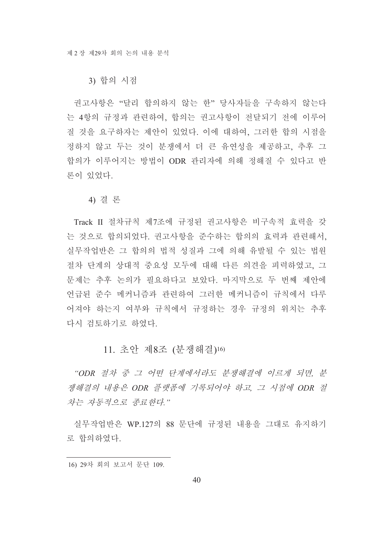#### 3) 합의 시점

권고사항은 "달리 합의하지 않는 한" 당사자들을 구속하지 않는다 는 4항의 규정과 관련하여, 합의는 권고사항이 전달되기 전에 이루어 질 것을 요구하자는 제안이 있었다. 이에 대하여, 그러한 합의 시점을 정하지 않고 두는 것이 분쟁에서 더 큰 유연성을 제공하고, 추후 그 합의가 이루어지는 방법이 ODR 관리자에 의해 정해질 수 있다고 반 론이 있었다.

#### 4) 결론

Track II 절차규칙 제7조에 규정된 권고사항은 비구속적 효력을 갖 는 것으로 합의되었다. 권고사항을 준수하는 합의의 효력과 관련해서. 실무작업반은 그 합의의 법적 성질과 그에 의해 유발될 수 있는 법원 절차 단계의 상대적 중요성 모두에 대해 다른 의견을 피력하였고. 그 문제는 추후 논의가 필요하다고 보았다. 마지막으로 두 번째 제안에 언급된 주수 메커니즘과 관련하여 그러한 메커니즘이 규칙에서 다루 어져야 하는지 여부와 규칙에서 규정하는 경우 규정의 위치는 추후 다시 검토하기로 하였다.

## 11. 초안 제8조 (분쟁해결)16)

"ODR 절차 중 그 어떤 단계에서라도 분쟁해결에 이르게 되면, 분 쟁해결의 내용은 ODR 플랫폼에 기록되어야 하고, 그 시점에 ODR 절 차는 자동적으로 종료하다"

실무작업반은 WP.127의 88 문단에 규정된 내용을 그대로 유지하기 로 합의하였다.

<sup>16) 29</sup>차 회의 보고서 문단 109.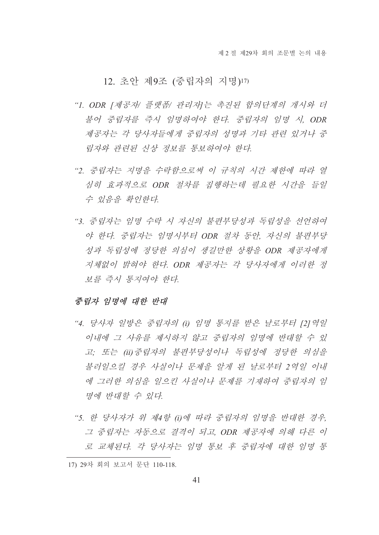# 12. 초안 제9조 (중립자의 지명)17)

- "I. ODR [제공자/ 플랫폼/ 관리자]는 촉진된 합의단계의 개시와 더 불어 중립자를 즉시 임명하여야 한다. 중립자의 임명 시. ODR 제공자는 각 당사자들에게 중립자의 성명과 기타 관련 있거나 중 립자와 관련된 신상 정보를 통보하여야 한다.
- "2. 중립자는 지명을 수락함으로써 이 규칙의 시간 제한에 따라 열 심히 효과적으로 ODR 절차를 집행하는데 필요한 시간을 들일 수 있음을 확인한다.
- "3. 중립자는 임명 수락 시 자신의 불편부당성과 독립성을 선언하여 야 한다. 중립자는 임명시부터 ODR 절차 동안, 자신의 불편부당 성과 독립성에 정당한 의심이 생길만한 상황을 ODR 제공자에게 지체없이 밝혀야 한다. ODR 제공자는 각 당사자에게 이러한 정 보를 즉시 통지여야 한다.

#### 중립자 임명에 대한 반대

- "4. 당사자 일방은 중립자의 (i) 임명 통지를 받은 날로부터 [2]역일 이내에 그 사유를 제시하지 않고 중립자의 임명에 반대할 수 있 고; 또는 (ii) 중립자의 불편부당성이나 독립성에 정당한 의심을 불러일으킬 경우 사실이나 문제을 알게 된 날로부터 2역일 이내 에 그러한 의심을 일으킨 사실이나 문제를 기재하여 중립자의 임 명에 반대할 수 있다.
- "5. 한 당사자가 위 제4항 (i)에 따라 중립자의 임명을 반대한 경우, 그 중립자는 자동으로 결격이 되고, ODR 제공자에 의해 다른 이 로 교체된다. 각 당사자는 임명 통보 후 중립자에 대한 임명 통

<sup>17) 29</sup>차 회의 보고서 문단 110-118.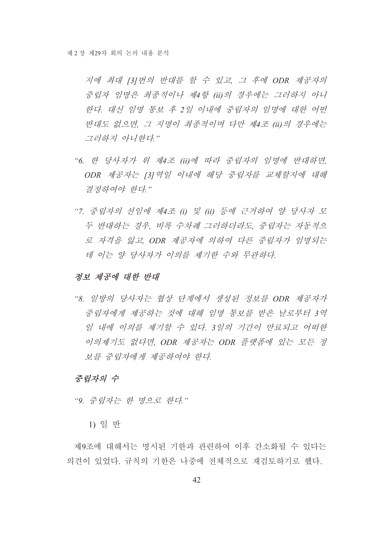지에 최대 [3] 번의 반대를 할 수 있고, 그 후에 ODR 제공자의 중립자 임명은 최종적이나 제4항 (ii)의 경우에는 그러하지 아니 한다. 대신 임명 통보 후 2일 이내에 중립자의 임명에 대한 어떤 반대도 없으면, 그 지명이 최종적이며 다만 제4조 (ii)의 경우에는 그러하지 아니한다."

- "6. 한 당사자가 위 제4조 (ii)에 따라 중립자의 임명에 반대하면, ODR 제공자는 [3] 역일 이내에 해당 중립자를 교체할지에 대해 결정하여야 한다."
- "7. 중립자의 선임에 제4조 (i) 및 (ii) 등에 근거하여 양 당사자 모 두 반대하는 경우, 비록 수차례 그러하더라도, 중립자는 자동적으 로 자격을 잃고, ODR 제공자에 의하여 다른 중립자가 임명되는 데 이는 양 당사자가 이의를 제기한 수와 무관하다.

#### 정보 제공에 대한 반대

"8. 일방의 당사자는 협상 단계에서 생성된 정보를 ODR 제공자가 중립자에게 제공하는 것에 대해 임명 통보를 받은 날로부터 3역 일 내에 이의를 제기할 수 있다. 3일의 기간이 만료되고 어떠한 이의제기도 없다면, ODR 제공자는 ODR 플랫폼에 있는 모든 정 보를 중립자에게 제공하여야 한다.

### 중립자의 수

"9. 중립자는 한 명으로 한다."

1) 일 반

제9조에 대해서는 명시된 기한과 관련하여 이후 간소화될 수 있다는 의견이 있었다. 규칙의 기한은 나중에 전체적으로 재검토하기로 했다.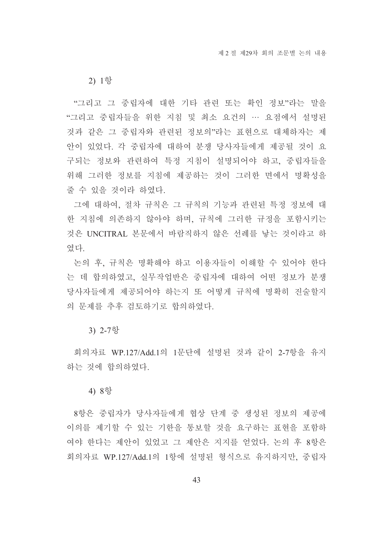2) 1항

"그리고 그 중립자에 대한 기타 관련 또는 확인 정보"라는 말을 "그리고 중립자들을 위한 지침 및 최소 요건의 … 요점에서 설명된 것과 같은 그 중립자와 관련된 정보의"라는 표현으로 대체하자는 제 안이 있었다. 각 중립자에 대하여 분쟁 당사자들에게 제공될 것이 요 구되는 정보와 관련하여 특정 지침이 설명되어야 하고, 중립자들을 위해 그러한 정보를 지침에 제공하는 것이 그러한 면에서 명확성을 줄 수 있을 것이라 하였다.

그에 대하여, 절차 규칙은 그 규칙의 기능과 관련된 특정 정보에 대 한 지침에 의존하지 않아야 하며 규칙에 그러한 규정을 포함시키는 것은 UNCITRAL 본문에서 바람직하지 않은 선례를 낳는 것이라고 하 였다

논의 후, 규칙은 명확해야 하고 이용자들이 이해할 수 있어야 한다 는 데 합의하였고. 실무작업반은 중립자에 대하여 어떤 정보가 분쟁 당사자들에게 제공되어야 하는지 또 어떻게 규칙에 명확히 진술할지 의 문제를 추후 검토하기로 합의하였다.

3) 2-7항

회의자료 WP 127/Add 1의 1문단에 설명된 것과 같이 2-7항을 유지 하는 것에 합의하였다.

#### 4) 8항

8항은 중립자가 당사자들에게 협상 단계 중 생성된 정보의 제공에 이의를 제기할 수 있는 기한을 통보할 것을 요구하는 표현을 포함하 여야 한다는 제안이 있었고 그 제안은 지지를 얻었다. 논의 후 8항은 회의자료 WP.127/Add.1의 1항에 설명된 형식으로 유지하지만, 중립자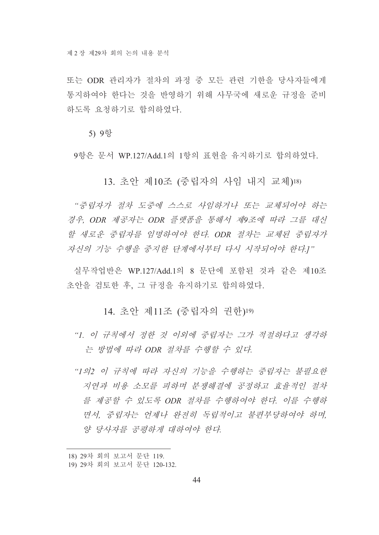또는 ODR 관리자가 절차의 과정 중 모든 관련 기한을 당사자들에게 통지하여야 한다는 것을 반영하기 위해 사무국에 새로운 규정을 주비 하도록 요청하기로 합의하였다.

5) 9항

9항은 문서 WP.127/Add.1의 1항의 표현을 유지하기로 합의하였다.

# 13. 초안 제10조 (중립자의 사임 내지 교체)18)

"중립자가 절차 도중에 스스로 사임하거나 또는 교체되어야 하는 경우, ODR 제공자는 ODR 플랫폼을 통해서 제9조에 따라 그를 대신 할 새로운 중립자를 임명하여야 한다. ODR 절차는 교체된 중립자가 자신의 기능 수행을 중지한 단계에서부터 다시 시작되어야 한다.]"

실무작업반은 WP.127/Add.1의 8 문단에 포함된 것과 같은 제10조 초안을 검토한 후, 그 규정을 유지하기로 합의하였다.

# 14. 초안 제11조 (중립자의 권한)19)

- "1. 이 규칙에서 정한 것 이외에 중립자는 그가 적절하다고 생각하 는 방법에 따라 ODR 절차를 수행할 수 있다.
- "1의2 이 규칙에 따라 자신의 기능을 수행하는 중립자는 불필요한 지연과 비용 소모를 피하며 분쟁해결에 공정하고 효율적인 절차 를 제공할 수 있도록 ODR 절차를 수행하여야 한다. 이를 수행하 면서 중립자는 어제나 와전히 독립적이고 불편부당하여야 하며 양 당사자를 공평하게 대하여야 한다.

<sup>18) 29</sup>차 회의 보고서 문단 119

<sup>19) 29</sup>차 회의 보고서 문단 120-132.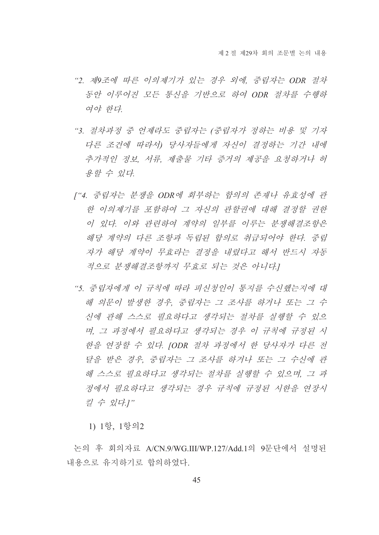- "2. 제9조에 따른 이의제기가 있는 경우 외에, 중립자는 ODR 절차 동안 이루어진 모든 통신을 기반으로 하여 ODR 절차를 수행하 여야 한다
- "3. 절차과정 중 언제라도 중립자는 (중립자가 정하는 비용 및 기자 다른 조건에 따라서) 당사자들에게 자신이 결정하는 기간 내에 추가적인 정보, 서류, 제출물 기타 증거의 제공을 요청하거나 허 용할 수 있다.
- ["4. 중립자는 분쟁을 ODR에 회부하는 합의의 존재나 유효성에 관 한 이의제기를 포함하여 그 자신의 관할권에 대해 결정할 권한 이 있다. 이와 관련하여 계약의 일부를 이루는 분쟁해결조항은 해당 계약의 다른 조항과 독립된 합의로 취급되어야 한다. 중립 자가 해당 계약이 무효라는 결정을 내렸다고 해서 반드시 자동 적으로 분쟁해결조항까지 무효로 되는 것은 아니다.
- "5. 중립자에게 이 규칙에 따라 피신청인이 통지를 수신했는지에 대 해 의무이 발생한 경우 중립자는 그 조사를 하거나 또는 그 수 신에 관해 스스로 필요하다고 생각되는 절차를 실행할 수 있으 며, 그 과정에서 필요하다고 생각되는 경우 이 규칙에 규정된 시 한을 연장할 수 있다. IODR 절차 과정에서 한 당사자가 다른 전 달을 받은 경우. 중립자는 그 조사를 하거나 또는 그 수신에 관 해 스스로 필요하다고 생각되는 절차를 실행할 수 있으며, 그 과 정에서 필요하다고 생각되는 경우 규칙에 규정된 시하을 여장시 킬 수 있다.]"

1) 1항, 1항의2

논의 후 회의자료 A/CN.9/WG.III/WP.127/Add.1의 9문단에서 설명된 내용으로 유지하기로 합의하였다.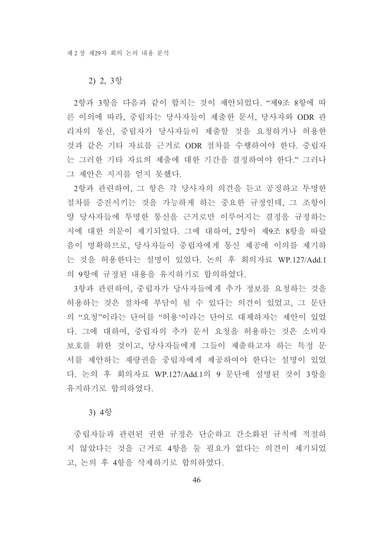#### 2) 2, 3항

2항과 3항을 다음과 같이 합치는 것이 제안되었다. "제9조 8항에 따 른 이의에 따라, 중립자는 당사자들이 제출한 문서, 당사자와 ODR 관 리자의 통신, 중립자가 당사자들이 제출할 것을 요청하거나 허용한 것과 같은 기타 자료를 근거로 ODR 절차를 수행하여야 한다. 중립자 는 그러한 기타 자료의 제출에 대한 기간을 결정하여야 한다." 그러나 그 제안은 지지를 얻지 못했다.

2항과 관련하여, 그 항은 각 당사자의 의견을 듣고 공정하고 투명한 절차를 증진시키는 것을 가능하게 하는 중요한 규정인데, 그 조항이 양 당사자들에 투명한 통신을 근거로만 이루어지는 결정을 규정하는 지에 대한 의문이 제기되었다. 그에 대하여, 2항이 제9조 8항을 따랐 음이 명확하므로, 당사자들이 중립자에게 통신 제공에 이의를 제기하 는 것을 허용한다는 설명이 있었다. 논의 후 회의자료 WP.127/Add.1 의 9항에 규정된 내용을 유지하기로 합의하였다.

3항과 관련하여, 중립자가 당사자들에게 추가 정보를 요청하는 것을 허용하는 것은 절차에 부담이 될 수 있다는 의견이 있었고, 그 문단 의 "요청"이라는 단어를 "허용'이라는 단어로 대체하자는 제안이 있었 다. 그에 대하여, 중립자의 추가 문서 요청을 허용하는 것은 소비자 보호를 위한 것이고, 당사자들에게 그들이 제출하고자 하는 특정 문 서를 제안하는 재량권을 중립자에게 제공하여야 한다는 설명이 있었 다. 논의 후 회의자료 WP.127/Add.1의 9 문단에 설명된 것이 3항을 유지하기로 합의하였다.

#### 3) 4항

중립자들과 관련된 권한 규정은 단수하고 간소화된 규칙에 적절하 지 않았다는 것을 근거로 4항을 둘 필요가 없다는 의견이 제기되었 고. 논의 후 4항을 삭제하기로 합의하였다.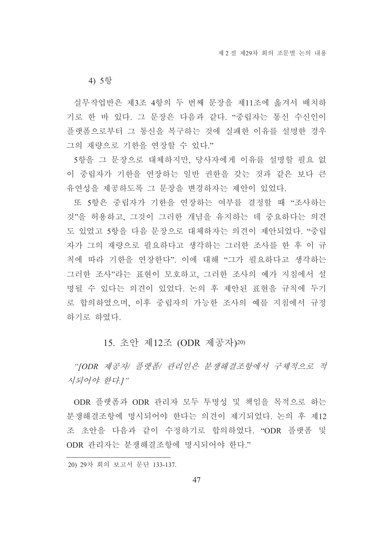4) 5항

실무작업반은 제3조 4항의 두 번째 문장을 제11조에 옮겨서 배치하 기로 한 바 있다. 그 문장은 다음과 같다. "중립자는 통신 수신인이 플랫폼으로부터 그 통신을 복구하는 것에 실패한 이유를 설명한 경우 그의 재량으로 기한을 연장할 수 있다."

5항을 그 문장으로 대체하지만, 당사자에게 이유를 설명할 필요 없 이 중립자가 기한을 연장하는 일반 권한을 갖는 것과 같은 보다 큰 유연성을 제공하도록 그 문장을 변경하자는 제안이 있었다.

또 5항은 중립자가 기한을 연장하는 여부를 결정할 때 "조사하는 것"을 허용하고, 그것이 그러한 개념을 유지하는 데 중요하다는 의견 도 있었고 5항을 다음 문장으로 대체하자는 의견이 제안되었다. "중립 자가 그의 재량으로 필요하다고 생각하는 그러한 조사를 한 후 이 규 칙에 따라 기한을 연장한다". 이에 대해 "그가 필요하다고 생각하는 그러한 조사"라는 표현이 모호하고, 그러한 조사의 예가 지침에서 설 명될 수 있다는 의견이 있었다. 논의 후 제안된 표현을 규칙에 두기 로 합의하였으며, 이후 중립자의 가능한 조사의 예를 지침에서 규정 하기로 하였다.

# 15. 초안 제12조 (ODR 제공자)20)

"[ODR 제공자/ 플랫폼/ 관리인은 분쟁해결조항에서 구체적으로 적 시되어야 한다.]"

ODR 플랫폼과 ODR 관리자 모두 투명성 및 책임을 목적으로 하는 분쟁해결조항에 명시되어야 한다는 의견이 제기되었다. 논의 후 제12 조 초아을 다음과 같이 수정하기로 합의하였다. "ODR 플랫폼 및 ODR 관리자는 분쟁해결조항에 명시되어야 한다."

<sup>20) 29</sup>차 회의 보고서 문단 133-137.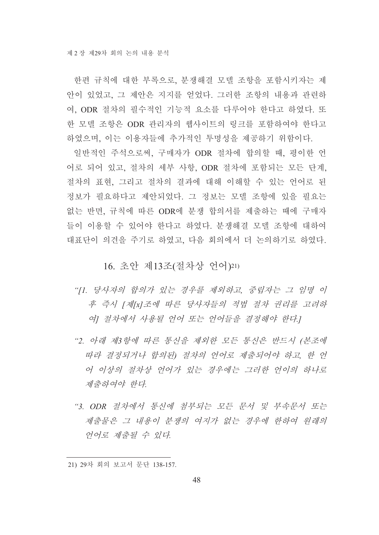한편 규칙에 대한 부록으로 분쟁해결 모델 조항을 포함시키자는 제 안이 있었고, 그 제안은 지지를 얻었다. 그러한 조항의 내용과 관련하 여, ODR 절차의 필수적인 기능적 요소를 다루어야 한다고 하였다. 또 한 모델 조항은 ODR 관리자의 웹사이트의 링크를 포함하여야 한다고 하였으며, 이는 이용자들에 추가적인 투명성을 제공하기 위함이다.

일반적인 주석으로써, 구매자가 ODR 절차에 합의할 때, 평이한 언 어로 되어 있고, 절차의 세부 사항, ODR 절차에 포함되는 모든 단계, 절차의 표현, 그리고 절차의 결과에 대해 이해할 수 있는 언어로 된 정보가 필요하다고 제안되었다. 그 정보는 모델 조항에 있을 필요는 없는 반면, 규칙에 따른 ODR에 분쟁 합의서를 제출하는 때에 구매자 들이 이용할 수 있어야 한다고 하였다. 분쟁해결 모델 조항에 대하여 대표단이 의견을 주기로 하였고, 다음 회의에서 더 논의하기로 하였다.

16. 초안 제13조(절차상 언어)21)

- "[1. 당사자의 합의가 있는 경우를 제외하고, 중립자는 그 임명 이 후 즉시 [제[x]조에 따른 당사자들의 적법 절차 권리를 고려하 여1 절차에서 사용될 언어 또는 언어들을 결정해야 한다.1
- "2. 아래 제3항에 따른 통신을 제외한 모든 통신은 반드시 (본조에 따라 결정되거나 합의된) 절차의 언어로 제출되어야 하고, 한 언 어 이상의 절차상 언어가 있는 경우에는 그러한 언어의 하나로 제출하여야 한다.
- "3. ODR 절차에서 통신에 첨부되는 모든 문서 및 부속문서 또는 제출물은 그 내용이 부쟁의 여지가 없는 경우에 하하여 워래의 언어로 제출될 수 있다.

<sup>21) 29</sup>차 회의 보고서 문단 138-157.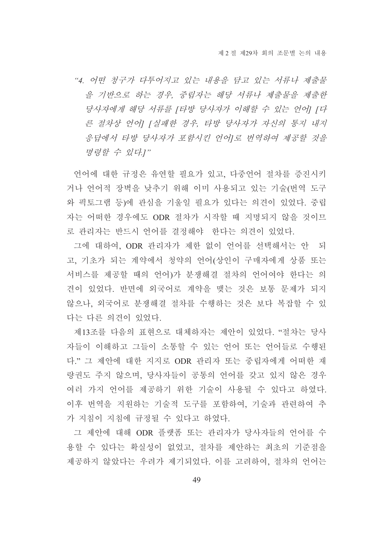"4. 어떤 청구가 다투어지고 있는 내용을 담고 있는 서류나 제출물 을 기반으로 하는 경우, 중립자는 해당 서류나 제출물을 제출한 당사자에게 해당 서류를 [타방 당사자가 이해할 수 있는 언어] [다 른 절차상 언어] [실패한 경우, 타방 당사자가 자신의 통지 내지 응답에서 타방 당사자가 포함시킨 언어I로 번역하여 제공할 것을 명령할 수 있다.]"

언어에 대한 규정은 유연할 필요가 있고, 다중언어 절차를 증진시키 거나 언어적 장벽을 낮추기 위해 이미 사용되고 있는 기술(번역 도구 와 픽토그램 등)에 관심을 기울일 필요가 있다는 의견이 있었다. 중립 자는 어떠한 경우에도 ODR 절차가 시작할 때 지명되지 않을 것이므 로 관리자는 반드시 언어를 결정해야 한다는 의견이 있었다.

그에 대하여, ODR 관리자가 제한 없이 언어를 선택해서는 안 되 고, 기초가 되는 계약에서 청약의 언어(상인이 구매자에게 상품 또는 서비스를 제공할 때의 언어)가 분쟁해결 절차의 언어여야 한다는 의 견이 있었다. 반면에 외국어로 계약을 맺는 것은 보통 문제가 되지 않으나, 외국어로 분쟁해결 절차를 수행하는 것은 보다 복잡할 수 있 다는 다른 의견이 있었다.

제13조를 다음의 표현으로 대체하자는 제안이 있었다. "절차는 당사 자들이 이해하고 그들이 소통할 수 있는 언어 또는 언어들로 수행된 다." 그 제안에 대한 지지로 ODR 관리자 또는 중립자에게 어떠한 재 량권도 주지 않으며, 당사자들이 공통의 언어를 갖고 있지 않은 경우 여러 가지 언어를 제공하기 위한 기술이 사용될 수 있다고 하였다. 이후 번역을 지원하는 기술적 도구를 포함하여, 기술과 관련하여 추 가 지침이 지침에 규정될 수 있다고 하였다.

그 제안에 대해 ODR 플랫폼 또는 관리자가 당사자들의 언어를 수 용할 수 있다는 확실성이 없었고, 절차를 제안하는 최초의 기준점을 제공하지 않았다는 우려가 제기되었다. 이를 고려하여, 절차의 언어는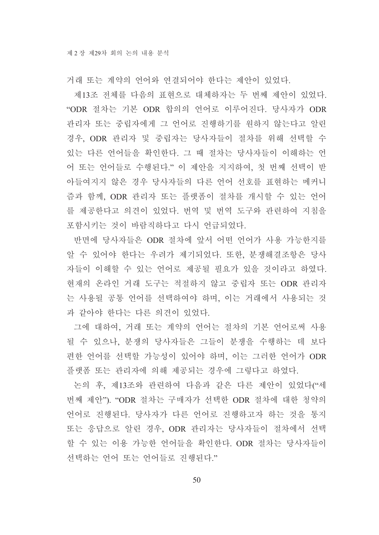거래 또는 계약의 언어와 연결되어야 한다는 제안이 있었다.

제13조 전체를 다음의 표현으로 대체하자는 두 번째 제안이 있었다. "ODR 절차는 기본 ODR 합의의 언어로 이루어진다. 당사자가 ODR 관리자 또는 중립자에게 그 언어로 진행하기를 원하지 않는다고 알린 경우, ODR 관리자 및 중립자는 당사자들이 절차를 위해 선택할 수 있는 다른 언어들을 확인한다. 그 때 절차는 당사자들이 이해하는 언 어 또는 언어들로 수행된다." 이 제안을 지지하여, 첫 번째 선택이 받 아들여지지 않은 경우 당사자들의 다른 언어 선호를 표현하는 메커니 즘과 함께, ODR 관리자 또는 플랫폼이 절차를 개시할 수 있는 언어 를 제공한다고 의견이 있었다. 번역 및 번역 도구와 관련하여 지침을 포함시키는 것이 바람직하다고 다시 언급되었다.

반면에 당사자들은 ODR 절차에 앞서 어떤 언어가 사용 가능한지를 알 수 있어야 한다는 우려가 제기되었다. 또한, 분쟁해결조항은 당사 자들이 이해할 수 있는 언어로 제공될 필요가 있을 것이라고 하였다. 현재의 온라인 거래 도구는 적절하지 않고 중립자 또는 ODR 관리자 는 사용될 공통 언어를 선택하여야 하며, 이는 거래에서 사용되는 것 과 같아야 한다는 다른 의견이 있었다.

그에 대하여, 거래 또는 계약의 언어는 절차의 기본 언어로써 사용 될 수 있으나, 분쟁의 당사자들은 그들이 분쟁을 수행하는 데 보다 편한 언어를 선택할 가능성이 있어야 하며, 이는 그러한 언어가 ODR 플랫폼 또는 관리자에 의해 제공되는 경우에 그렇다고 하였다.

논의 후, 제13조와 관련하여 다음과 같은 다른 제안이 있었다("세 번째 제안"). "ODR 절차는 구매자가 선택한 ODR 절차에 대한 청약의 언어로 진행된다. 당사자가 다른 언어로 진행하고자 하는 것을 통지 또는 응답으로 알린 경우. ODR 관리자는 당사자들이 절차에서 선택 할 수 있는 이용 가능한 언어들을 확인한다. ODR 절차는 당사자들이 선택하는 어어 또는 어어들로 진행된다."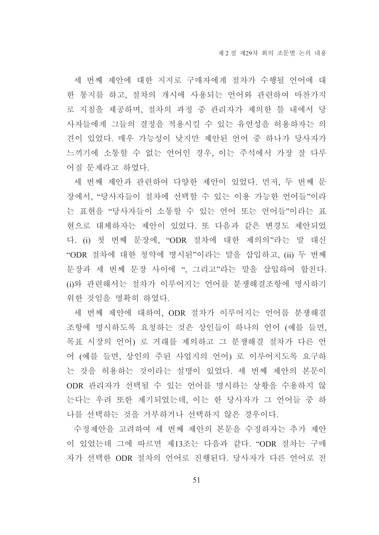세 번째 제안에 대한 지지로 구매자에게 절차가 수행될 언어에 대 한 통지를 하고, 절차의 개시에 사용되는 언어와 관련하여 마찬가지 로 지침을 제공하며, 절차의 과정 중 관리자가 제의한 틀 내에서 당 사자들에게 그들의 결정을 적용시킬 수 있는 유연성을 허용하자는 의 견이 있었다. 매우 가능성이 낮지만 제안된 언어 중 하나가 당사자가 느끼기에 소통할 수 없는 언어인 경우, 이는 주석에서 가장 잘 다루 어질 문제라고 하였다.

세 번째 제안과 관련하여 다양한 제안이 있었다. 먼저, 두 번째 문 장에서, "당사자들이 절차에 선택할 수 있는 이용 가능한 언어들"이라 는 표현을 "당사자들이 소통할 수 있는 언어 또는 언어들"이라는 표 현으로 대체하자는 제안이 있었다. 또 다음과 같은 변경도 제안되었 다. (i) 첫 번째 문장에, "ODR 절차에 대한 제의의"라는 말 대신 "ODR 절차에 대한 청약에 명시된"이라는 말을 삽입하고, (ii) 두 번째 문장과 세 번째 문장 사이에 ", 그리고"라는 말을 삽입하여 합친다. (i)와 관련해서는 절차가 이루어지는 언어를 분쟁해결조항에 명시하기 위한 것임을 명확히 하였다.

세 번째 제안에 대하여. ODR 절차가 이루어지는 언어를 분쟁해결 조항에 명시하도록 요청하는 것은 상인들이 하나의 언어 (예를 들면, 목표 시장의 언어) 로 거래를 제의하고 그 분쟁해결 절차가 다른 언 어 (예를 들면, 상인의 주된 사업지의 언어) 로 이루어지도록 요구하 는 것을 허용하는 것이라는 설명이 있었다. 세 번째 제안의 본문이 ODR 관리자가 선택될 수 있는 언어를 명시하는 상황을 수용하지 않 는다는 우려 또한 제기되었는데, 이는 한 당사자가 그 언어들 중 하 나를 선택하는 것을 거부하거나 선택하지 않은 경우이다.

수정제안을 고려하여 세 번째 제안의 본문을 수정하자는 추가 제안 이 있었는데 그에 따르면 제13조는 다음과 같다. "ODR 절차는 구매 자가 선택한 ODR 절차의 언어로 진행된다. 당사자가 다른 언어로 진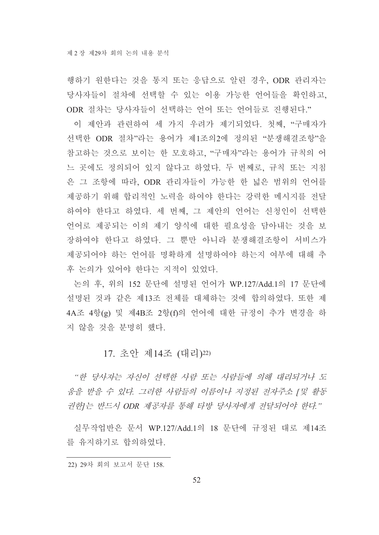행하기 원한다는 것을 통지 또는 응답으로 알린 경우, ODR 관리자는 당사자들이 절차에 선택할 수 있는 이용 가능한 언어들을 확인하고, ODR 절차는 당사자들이 선택하는 언어 또는 언어들로 진행된다."

이 제안과 관련하여 세 가지 우려가 제기되었다. 첫째, "구매자가 선택한 ODR 절차"라는 용어가 제1조의2에 정의된 "분쟁해결조항"을 참고하는 것으로 보이는 한 모호하고, "구매자"라는 용어가 규칙의 어 느 곳에도 정의되어 있지 않다고 하였다. 두 번째로, 규칙 또는 지침 은 그 조항에 따라, ODR 관리자들이 가능한 한 넓은 범위의 언어를 제공하기 위해 합리적인 노력을 하여야 한다는 강력한 메시지를 전달 하여야 한다고 하였다. 세 번째, 그 제안의 언어는 신청인이 선택한 언어로 제공되는 이의 제기 양식에 대한 필요성을 담아내는 것을 보 장하여야 한다고 하였다. 그 뿐만 아니라 분쟁해결조항이 서비스가 제공되어야 하는 언어를 명확하게 설명하여야 하는지 여부에 대해 추 후 논의가 있어야 한다는 지적이 있었다.

논의 후, 위의 152 문단에 설명된 언어가 WP.127/Add.1의 17 문단에 설명된 것과 같은 제13조 전체를 대체하는 것에 합의하였다. 또한 제 4A조 4항(g) 및 제4B조 2항(f)의 언어에 대한 규정이 추가 변경을 하 지 않을 것을 분명히 했다.

# 17. 초안 제14조 (대리)22)

"한 당사자는 자신이 선택한 사람 또는 사람들에 의해 대리되거나 도 움을 받을 수 있다. 그러한 사람들의 이름이나 지정된 전자주소 [ 및 활동 권한 는 반드시 ODR 제공자를 통해 타방 당사자에게 전달되어야 한다."

실무작업반은 문서 WP.127/Add.1의 18 문단에 규정된 대로 제14조 를 유지하기로 합의하였다.

<sup>22) 29</sup>차 회의 보고서 문단 158.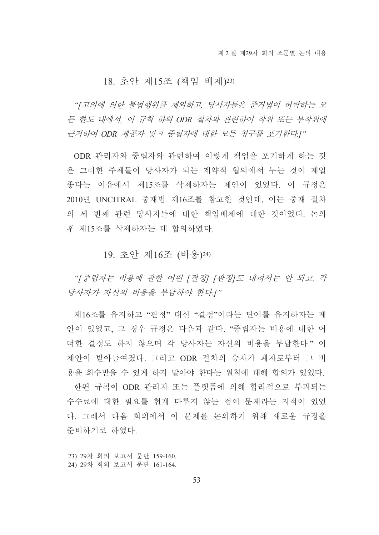## 18. 초안 제15조 (책임 배제)23)

"[고의에 의한 불법행위를 제외하고 당사자들은 주거법이 허락하는 모 든 한도 내에서, 이 규칙 하의 ODR 절차와 관련하여 작위 또는 부작위에 근거하여 ODR 제공자 및ㅋ 중립자에 대한 모든 청구를 포기한다.]"

ODR 관리자와 중립자와 관련하여 이렇게 책임을 포기하게 하는 것 은 그러한 주체들이 당사자가 되는 계약적 협의에서 두는 것이 제일 좋다는 이유에서 제15조를 삭제하자는 제안이 있었다. 이 규정은 2010년 UNCITRAL 중재법 제16조를 참고한 것인데, 이는 중재 절차 의 세 번째 관련 당사자들에 대한 책임배제에 대한 것이었다. 논의 후 제15조를 삭제하자는 데 합의하였다.

19. 초안 제16조 (비용)24)

"[중립자는 비용에 관한 어떤 [결정] [판정]도 내려서는 안 되고, 각 당사자가 자신의 비용을 부담하야 한다.]"

제16조를 유지하고 "판정" 대신 "결정"이라는 단어를 유지하자는 제 안이 있었고, 그 경우 규정은 다음과 같다. "중립자는 비용에 대한 어 떠한 결정도 하지 않으며 각 당사자는 자신의 비용을 부담한다." 이 제안이 받아들여졌다. 그리고 ODR 절차의 승자가 패자로부터 그 비 용을 회수받을 수 있게 하지 말아야 한다는 워칙에 대해 합의가 있었다.

한편 규칙이 ODR 관리자 또는 플랫폼에 의해 합리적으로 부과되는 수수료에 대한 필요를 혀재 다루지 않는 점이 문제라는 지적이 있었 다. 그래서 다음 회의에서 이 문제를 논의하기 위해 새로운 규정을 주비하기로 하였다.

<sup>23) 29</sup>차 회의 보고서 문단 159-160.

<sup>24) 29</sup>차 회의 보고서 문단 161-164.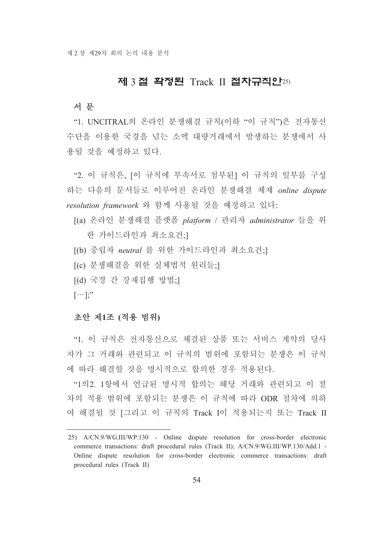# 제 3 절 확정된 Track II 절차규칙안25)

#### 서 문

"1. UNCITRAL의 온라인 분쟁해결 규칙(이하 "이 규칙")은 전자통신 수단을 이용한 국경을 넘는 소액 대량거래에서 발생하는 분쟁에서 사 용될 것을 예정하고 있다.

"2. 이 규칙은, [이 규칙에 부속서로 첨부되] 이 규칙의 일부를 구성 하는 다음의 문서들로 이루어진 온라인 분쟁해결 체제 online dispute resolution framework 와 함께 사용될 것을 예정하고 있다:

- [(a) 온라인 분쟁해결 플랫폼 platform / 관리자 administrator 들을 위 한 가이드라인과 최소요건:]
- [(b) 중립자 neutral 를 위한 가이드라인과 최소요건;]
- [(c) 분쟁해결을 위한 실체법적 워리들:]
- [(d) 국경 간 강재집행 방법:]
- $[\cdots]$ ;"

## 초안 제1조 (적용 범위)

"1. 이 규칙은 전자통신으로 체결된 상품 또는 서비스 계약의 당사 자가 그 거래와 관련되고 이 규칙의 범위에 포함되는 분쟁은 이 규칙 에 따라 해결할 것을 명시적으로 합의한 경우 적용되다.

"1의2. 1항에서 언급된 명시적 합의는 해당 거래와 관련되고 이 절 차의 적용 범위에 포함되는 분쟁은 이 규칙에 따라 ODR 절차에 의하 여 해결될 것 [그리고 이 규칙의 Track I이 적용되는지 또는 Track II

<sup>25)</sup> A/CN.9/WG.III/WP.130 - Online dispute resolution for cross-border electronic commerce transactions: draft procedural rules (Track II); A/CN.9/WG.III/WP.130/Add.1 -Online dispute resolution for cross-border electronic commerce transactions: draft procedural rules (Track II)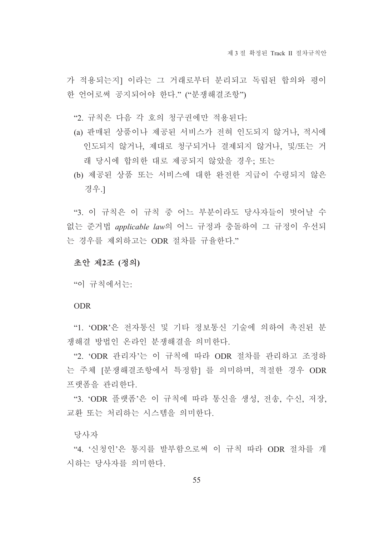가 적용되는지] 이라는 그 거래로부터 분리되고 독립된 합의와 평이 한 어어로써 공지되어야 하다." ("부쟁해결조항")

"2. 규칙은 다음 각 호의 청구권에만 적용된다:

- (a) 판매된 상품이나 제공된 서비스가 전혀 인도되지 않거나, 적시에 인도되지 않거나, 제대로 청구되거나 결제되지 않거나, 및/또는 거 래 당시에 합의한 대로 제공되지 않았을 경우; 또는
- (b) 제공된 상품 또는 서비스에 대한 완전한 지급이 수령되지 않은 경우.1

"3. 이 규칙은 이 규칙 중 어느 부분이라도 당사자들이 벗어날 수 없는 준거법 applicable law의 어느 규정과 충돌하여 그 규정이 우선되 는 경우를 제외하고는 ODR 절차를 규율하다."

#### 초안 제2조 (정의)

"이 규칙에서는:

#### **ODR**

"1. 'ODR'은 전자통신 및 기타 정보통신 기술에 의하여 촉진된 분 쟁해결 방법인 온라인 분쟁해결을 의미한다.

"2. 'ODR 관리자'는 이 규칙에 따라 ODR 절차를 관리하고 조정하 는 주체 [분쟁해결조항에서 특정함] 를 의미하며, 적절한 경우 ODR 프랫폼을 관리한다.

"3. 'ODR 플랫폼'은 이 규칙에 따라 통신을 생성, 전송, 수신, 저장, 교환 또는 처리하는 시스템을 의미한다.

당사자

"4. '신청인'은 통지를 발부함으로써 이 규칙 따라 ODR 절차를 개 시하는 당사자를 의미하다.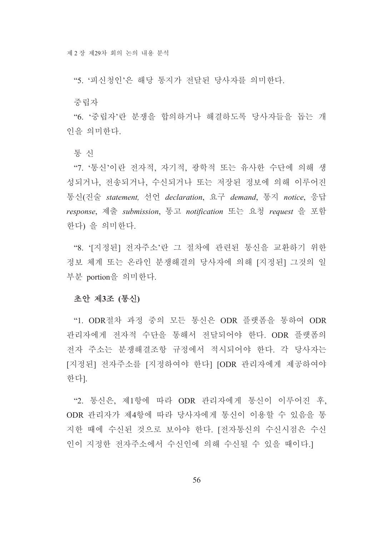"5. '피신청인'은 해당 통지가 전달된 당사자를 의미하다.

중립자

"6. '중립자'란 분쟁을 합의하거나 해결하도록 당사자들을 돕는 개 인을 의미하다.

통신

"7. '통신'이란 전자적, 자기적, 광학적 또는 유사한 수단에 의해 생 성되거나, 전송되거나, 수신되거나 또는 저장된 정보에 의해 이루어진 통신(진술 statement, 선언 declaration, 요구 demand, 통지 notice, 응답 response, 제출 submission, 통고 notification 또는 요청 request 을 포함 한다) 을 의미한다.

"8. '[지정된] 전자주소'란 그 절차에 관련된 통신을 교환하기 위한 정보 체계 또는 온라인 분쟁해결의 당사자에 의해 [지정된] 그것의 일 부분 portion을 의미한다.

#### 초안 제3조 (통신)

"1. ODR절차 과정 중의 모든 통신은 ODR 플랫폼을 통하여 ODR 관리자에게 전자적 수단을 통해서 전달되어야 한다. ODR 플랫폼의 전자 주소는 분쟁해결조항 규정에서 적시되어야 한다. 각 당사자는 [지정된] 전자주소를 [지정하여야 한다] [ODR 관리자에게 제공하여야 한다].

"2. 통신은, 제1항에 따라 ODR 관리자에게 통신이 이루어진 후, ODR 관리자가 제4항에 따라 당사자에게 통신이 이용할 수 있음을 통 지한 때에 수신된 것으로 보아야 한다. [전자통신의 수신시점은 수신 인이 지정한 전자주소에서 수신인에 의해 수신될 수 있을 때이다.]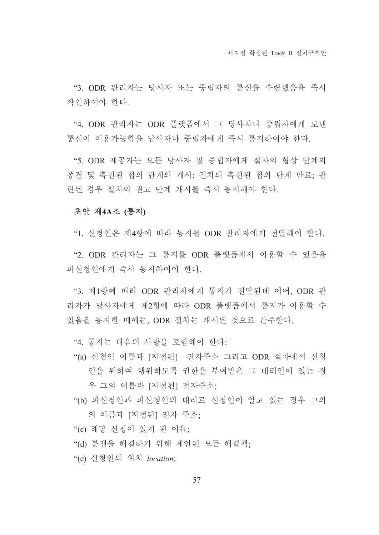"3. ODR 관리자는 당사자 또는 중립자의 통신을 수령했음을 즉시 확인하여야 한다.

"4. ODR 관리자는 ODR 플랫폼에서 그 당사자나 중립자에게 보내 통신이 이용가능함을 당사자나 중립자에게 즉시 통지하여야 하다.

"5. ODR 제공자는 모든 당사자 및 중립자에게 절차의 협상 단계의 종결 및 촉진된 합의 단계의 개시: 절차의 촉진된 합의 단계 만료: 관 련된 경우 절차의 권고 단계 개시를 즉시 통지해야 한다.

#### 초안 제4A조 (통지)

"1. 신청인은 제4항에 따라 통지를 ODR 관리자에게 전달해야 하다.

"2. ODR 관리자는 그 통지를 ODR 플랫폼에서 이용할 수 있음을 피신청인에게 즉시 통지하여야 하다.

"3. 제1항에 따라 ODR 관리자에게 통지가 전달된데 이어, ODR 관 리자가 당사자에게 제2항에 따라 ODR 플랫폼에서 통지가 이용할 수 있음을 통지한 때에는, ODR 절차는 개시된 것으로 간주한다.

"4. 통지는 다음의 사항을 포함해야 한다:

- "(a) 신청인 이름과 [지정된] 전자주소 그리고 ODR 절차에서 신청 인을 위하여 행위하도록 권한을 부여받은 그 대리인이 있는 경 우 그의 이름과 [지정된] 전자주소:
- "(b) 피신청인과 피신청인의 대리로 신청인이 알고 있는 경우 그의 의 이름과 [지정된] 전자 주소;
- "(c) 해당 신청이 있게 된 이유:
- "(d) 분쟁을 해결하기 위해 제안된 모든 해결책;
- "(e) 신청인의 위치 location;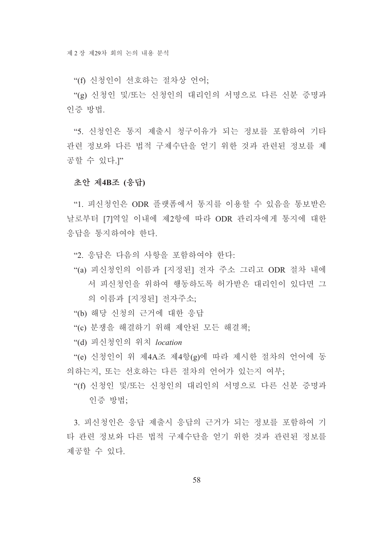"(f) 신청인이 선호하는 절차상 언어:

"(g) 신청인 및/또는 신청인의 대리인의 서명으로 다른 신분 증명과 인증 방법.

"5. 신청인은 통지 제출시 청구이유가 되는 정보를 포함하여 기타 관련 정보와 다른 법적 구제수단을 얻기 위한 것과 관련된 정보를 제 공할 수 있다.]"

#### 초안 제4B조 (응답)

"1. 피신청인은 ODR 플랫폼에서 통지를 이용할 수 있음을 통보받은 날로부터 [7]역일 이내에 제2항에 따라 ODR 관리자에게 통지에 대한 응답을 통지하여야 한다.

"2. 응답은 다음의 사항을 포함하여야 한다:

- "(a) 피신청인의 이름과 [지정된] 전자 주소 그리고 ODR 절차 내에 서 피신청인을 위하여 행동하도록 허가받은 대리인이 있다면 그 의 이름과 [지정된] 전자주소:
- "(b) 해당 신청의 근거에 대한 응답
- "(c) 분쟁을 해결하기 위해 제안된 모든 해결책;
- "(d) 피신청인의 위치 location

"(e) 신청인이 위 제4A조 제4항(g)에 따라 제시한 절차의 언어에 동 의하는지, 또는 선호하는 다른 절차의 언어가 있는지 여부;

"(f) 신청인 및/또는 신청인의 대리인의 서명으로 다른 신분 증명과 이증 방법·

3. 피신청인은 응답 제출시 응답의 근거가 되는 정보를 포함하여 기 타 관련 정보와 다른 법적 구제수단을 얻기 위한 것과 관련된 정보를 제공할 수 있다.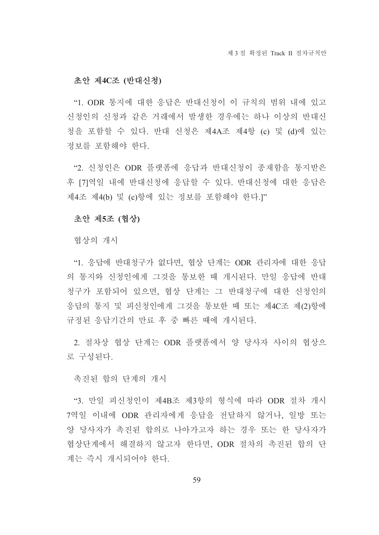#### 초안 제4C조 (반대신청)

"1. ODR 통지에 대한 응답은 반대신청이 이 규칙의 범위 내에 있고 신청인의 신청과 같은 거래에서 발생한 경우에는 하나 이상의 반대신 청을 포함할 수 있다. 반대 신청은 제4A조 제4항 (c) 및 (d)에 있는 정보를 포함해야 하다.

"2. 신청인은 ODR 플랫폼에 응답과 반대신청이 종재함을 통지받은 후 [7]역일 내에 반대신청에 응답할 수 있다. 반대신청에 대한 응답은 제4조 제4(b) 및 (c)항에 있는 정보를 포함해야 한다.]"

#### 초안 제5조 (협상)

협상의 개시

"1. 응답에 반대청구가 없다면, 협상 단계는 ODR 관리자에 대한 응답 의 통지와 신청인에게 그것을 통보한 때 개시된다. 만일 응답에 반대 청구가 포함되어 있으면, 협상 단계는 그 반대청구에 대한 신청인의 응답의 통지 및 피신청인에게 그것을 통보한 때 또는 제4C조 제(2)항에 규정된 응답기간의 만료 후 중 빠른 때에 개시된다.

2. 절차상 협상 단계는 ODR 플랫폼에서 양 당사자 사이의 협상으 로 구성된다.

촉진된 합의 단계의 개시

"3. 만일 피신청인이 제4B조 제3항의 형식에 따라 ODR 절차 개시 7역일 이내에 ODR 관리자에게 응답을 전달하지 않거나, 일방 또는 양 당사자가 촉진된 합의로 나아가고자 하는 경우 또는 한 당사자가 협상단계에서 해결하지 않고자 한다면, ODR 절차의 촉진된 합의 단 계는 즉시 개시되어야 한다.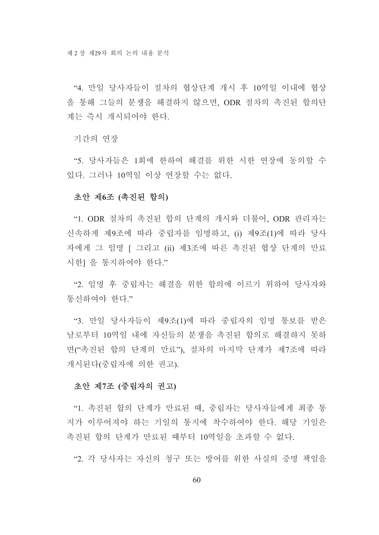"4. 만일 당사자들이 절차의 협상단계 개시 후 10역일 이내에 협상 을 통해 그들의 분쟁을 해결하지 않으면, ODR 절차의 촉진된 합의단 계는 즉시 개시되어야 한다.

기간의 여장

"5. 당사자들은 1회에 한하여 해결를 위한 시한 연장에 동의할 수 있다. 그러나 10역일 이상 연장할 수는 없다.

#### 초안 제6조 (촉진된 합의)

"1. ODR 절차의 촉진된 합의 단계의 개시와 더불어. ODR 관리자는 신속하게 제9조에 따라 중립자를 임명하고 (i) 제9조(1)에 따라 당사 자에게 그 임명 [ 그리고 (ii) 제3조에 따른 촉진된 협상 단계의 만료 시한] 을 통지하여야 한다."

"2. 임명 후 중립자는 해결을 위한 합의에 이르기 위하여 당사자와 통시하여야 하다"

"3. 만일 당사자들이 제9조(1)에 따라 중립자의 임명 통보를 받은 날로부터 10역일 내에 자신들의 분쟁을 촉진된 합의로 해결하지 못하 면("촉진된 합의 단계의 만료"), 절차의 마지막 단계가 제7조에 따라 개시된다(중립자에 의한 권고).

#### 초안 제7조 (중립자의 권고)

"1. 촉진된 합의 단계가 만료된 때, 중립자는 당사자들에게 최종 통 지가 이루어져야 하는 기일의 통지에 착수하여야 한다. 해당 기일은 촉진된 합의 단계가 만료된 때부터 10역일을 초과할 수 없다.

"2 각 당사자는 자신의 청구 또는 방어를 위한 사실의 증명 책임을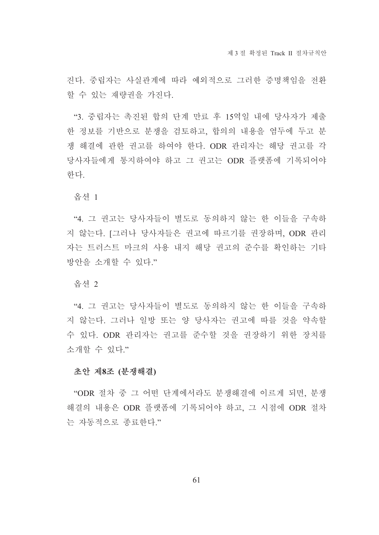진다. 중립자는 사실과계에 따라 예외적으로 그러한 증명책임을 전화 할 수 있는 재량권을 가진다.

"3. 중립자는 촉진된 합의 단계 만료 후 15역일 내에 당사자가 제출 한 정보를 기반으로 분쟁을 검토하고, 합의의 내용을 염두에 두고 분 쟁 해결에 관한 권고를 하여야 한다. ODR 관리자는 해당 권고를 각 당사자들에게 통지하여야 하고 그 권고는 ODR 플랫폼에 기록되어야 하다

옵션 1

"4. 그 권고는 당사자들이 별도로 동의하지 않는 한 이들을 구속하 지 않는다. [그러나 당사자들은 권고에 따르기를 권장하며, ODR 관리 자는 트러스트 마크의 사용 내지 해당 권고의 준수를 확인하는 기타 방안을 소개할 수 있다."

옵션 2

"4. 그 권고는 당사자들이 별도로 동의하지 않는 한 이들을 구속하 지 않는다. 그러나 일방 또는 양 당사자는 권고에 따를 것을 약속할 수 있다. ODR 관리자는 권고를 준수할 것을 권장하기 위한 장치를 소개할 수 있다."

#### 초안 제8조 (분쟁해결)

"ODR 절차 중 그 어떤 단계에서라도 분쟁해결에 이르게 되면, 분쟁 해결의 내용은 ODR 플랫폼에 기록되어야 하고, 그 시점에 ODR 절차 는 자동적으로 종료하다."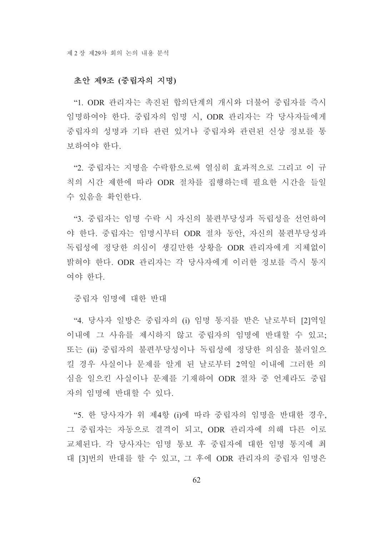## 초안 제9조 (중립자의 지명)

"1. ODR 관리자는 촉진된 합의단계의 개시와 더불어 중립자를 즉시 임명하여야 한다. 중립자의 임명 시, ODR 관리자는 각 당사자들에게 중립자의 성명과 기타 관련 있거나 중립자와 관련된 신상 정보를 통 보하여야 한다.

"2. 중립자는 지명을 수락함으로써 열심히 효과적으로 그리고 이 규 칙의 시간 제한에 따라 ODR 절차를 집행하는데 필요한 시간을 들일 수 있음을 확인한다.

"3. 중립자는 임명 수락 시 자신의 불편부당성과 독립성을 선언하여 야 한다. 중립자는 임명시부터 ODR 절차 동안, 자신의 불편부당성과 독립성에 정당한 의심이 생길만한 상황을 ODR 관리자에게 지체없이 밝혀야 한다. ODR 관리자는 각 당사자에게 이러한 정보를 즉시 통지 여야 한다.

중립자 임명에 대한 반대

"4. 당사자 일방은 중립자의 (i) 임명 통지를 받은 날로부터 [2]역일 이내에 그 사유를 제시하지 않고 중립자의 임명에 반대할 수 있고; 또는 (ii) 중립자의 불편부당성이나 독립성에 정당한 의심을 불러일으 킬 경우 사실이나 문제를 알게 된 날로부터 2역일 이내에 그러한 의 심을 일으킨 사실이나 문제를 기재하여 ODR 절차 중 언제라도 중립 자의 임명에 반대할 수 있다.

"5. 한 당사자가 위 제4항 (i)에 따라 중립자의 임명을 반대한 경우. 그 중립자는 자동으로 결격이 되고, ODR 관리자에 의해 다른 이로 교체된다. 각 당사자는 임명 통보 후 중립자에 대한 임명 통지에 최 대 [3]번의 반대를 할 수 있고, 그 후에 ODR 관리자의 중립자 임명은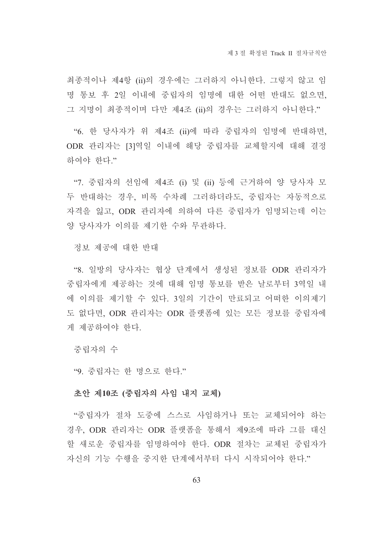최종적이나 제4항 (ii)의 경우에는 그러하지 아니한다. 그렇지 않고 임 명 통보 후 2일 이내에 중립자의 임명에 대한 어떤 반대도 없으면, 그 지명이 최종적이며 다만 제4조 (ii)의 경우는 그러하지 아니한다."

"6. 한 당사자가 위 제4조 (ii)에 따라 중립자의 임명에 반대하면, ODR 관리자는 [3]역일 이내에 해당 중립자를 교체할지에 대해 결정 하여야 한다."

"7. 중립자의 선임에 제4조 (i) 및 (ii) 등에 근거하여 양 당사자 모 두 반대하는 경우, 비록 수차례 그러하더라도, 중립자는 자동적으로 자격을 잃고, ODR 관리자에 의하여 다른 중립자가 임명되는데 이는 양 당사자가 이의를 제기한 수와 무관하다.

정보 제공에 대한 반대

"8. 일방의 당사자는 협상 단계에서 생성된 정보를 ODR 관리자가 중립자에게 제공하는 것에 대해 임명 통보를 받은 날로부터 3역일 내 에 이의를 제기할 수 있다. 3일의 기간이 만료되고 어떠한 이의제기 도 없다면. ODR 관리자는 ODR 플랫폼에 있는 모든 정보를 중립자에 게 제공하여야 한다.

중립자의 수

"9. 중립자는 한 명으로 한다."

### 초안 제10조 (중립자의 사임 내지 교체)

"중립자가 절차 도중에 스스로 사임하거나 또는 교체되어야 하는 경우, ODR 관리자는 ODR 플랫폼을 통해서 제9조에 따라 그를 대신 할 새로운 중립자를 임명하여야 한다. ODR 절차는 교체된 중립자가 자신의 기능 수행을 중지한 단계에서부터 다시 시작되어야 한다."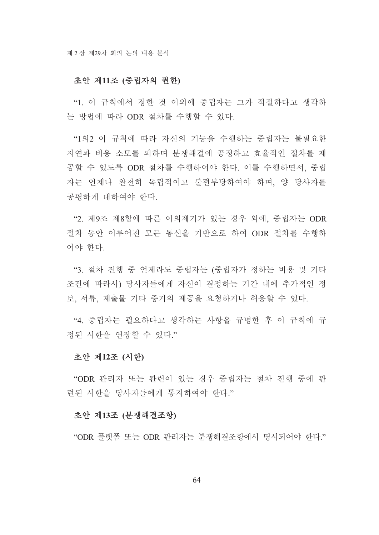## 초안 제11조 (중립자의 권한)

"1. 이 규칙에서 정한 것 이외에 중립자는 그가 적절하다고 생각하 는 방법에 따라 ODR 절차를 수행할 수 있다.

"1의2 이 규칙에 따라 자신의 기능을 수행하는 중립자는 불필요한 지연과 비용 소모를 피하며 분쟁해결에 공정하고 효율적인 절차를 제 공할 수 있도록 ODR 절차를 수행하여야 한다. 이를 수행하면서, 중립 자는 언제나 완전히 독립적이고 불편부당하여야 하며, 양 당사자를 공평하게 대하여야 한다.

"2. 제9조 제8항에 따른 이의제기가 있는 경우 외에, 중립자는 ODR 절차 동안 이루어진 모든 통신을 기반으로 하여 ODR 절차를 수행하 여야 한다

"3. 절차 진행 중 언제라도 중립자는 (중립자가 정하는 비용 및 기타 조건에 따라서) 당사자들에게 자신이 결정하는 기간 내에 추가적인 정 보, 서류, 제출물 기타 증거의 제공을 요청하거나 허용할 수 있다.

"4. 중립자는 필요하다고 생각하는 사항을 규명한 후 이 규칙에 규 정된 시한을 연장할 수 있다."

#### 초안 제12조 (시한)

"ODR 관리자 또는 관련이 있는 경우 중립자는 절차 진행 중에 관 려되 시하을 당사자들에게 통지하여야 하다."

#### 초안 제13조 (분쟁해결조항)

"ODR 플랫폼 또는 ODR 관리자는 분쟁해결조항에서 명시되어야 하다"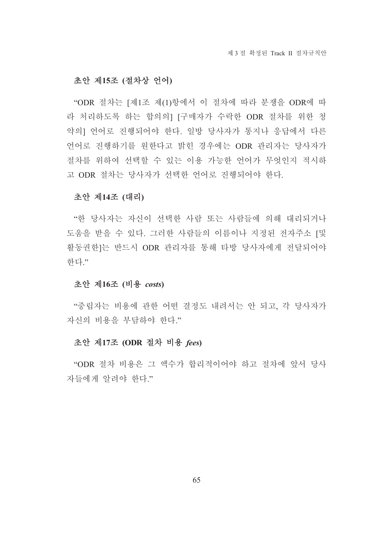### 초안 제15조 (절차상 언어)

"ODR 절차는 [제1조 제(1)항에서 이 절차에 따라 분쟁을 ODR에 따 라 처리하도록 하는 합의의] [구매자가 수락한 ODR 절차를 위한 청 약의] 언어로 진행되어야 한다. 일방 당사자가 통지나 응답에서 다른 언어로 진행하기를 원한다고 밝힌 경우에는 ODR 관리자는 당사자가 절차를 위하여 선택할 수 있는 이용 가능한 언어가 무엇인지 적시하 고 ODR 절차는 당사자가 선택한 언어로 진행되어야 한다.

#### 초안 제14조 (대리)

"한 당사자는 자신이 선택한 사람 또는 사람들에 의해 대리되거나 도움을 받을 수 있다. 그러한 사람들의 이름이나 지정된 전자주소 [및 활동권한]는 반드시 ODR 관리자를 통해 타방 당사자에게 전달되어야 하다"

#### 초안 제16조 (비용 costs)

"중립자는 비용에 관한 어떤 결정도 내려서는 안 되고, 각 당사자가 자신의 비용을 부담하야 한다."

#### 초안 제17조 (ODR 절차 비용 fees)

"ODR 절차 비용은 그 액수가 합리적이어야 하고 절차에 앞서 당사 자들에게 알려야 한다."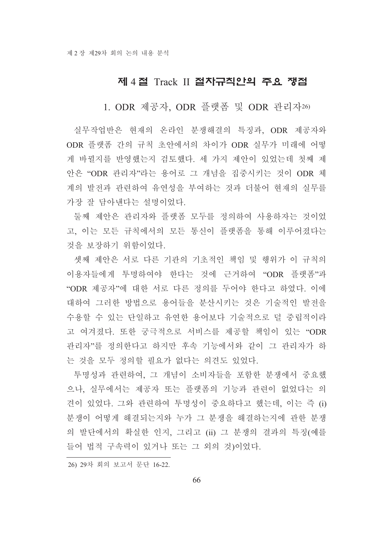# 제 4절 Track II 절차규칙안의 주요 쟁점

1. ODR 제공자, ODR 플랫폼 및 ODR 관리자26)

실무작업반은 현재의 온라인 분쟁해결의 특징과, ODR 제공자와 ODR 플랫폼 간의 규칙 초안에서의 차이가 ODR 실무가 미래에 어떻 게 바뀔지를 반영했는지 검토했다. 세 가지 제안이 있었는데 첫째 제 안은 "ODR 관리자"라는 용어로 그 개념을 집중시키는 것이 ODR 체 계의 발전과 관련하여 유연성을 부여하는 것과 더불어 현재의 실무를 가장 잘 담아낸다는 설명이었다.

둘째 제안은 관리자와 플랫폼 모두를 정의하여 사용하자는 것이었 고, 이는 모든 규칙에서의 모든 통신이 플랫폼을 통해 이루어졌다는 것을 보장하기 위함이었다.

셋째 제안은 서로 다른 기관의 기초적인 책임 및 행위가 이 규칙의 이용자들에게 투명하여야 한다는 것에 근거하여 "ODR 플랫폼"과 "ODR 제공자"에 대한 서로 다른 정의를 두어야 한다고 하였다. 이에 대하여 그러한 방법으로 용어들을 분산시키는 것은 기술적인 발전을 수용할 수 있는 단일하고 유연한 용어보다 기술적으로 덜 중립적이라 고 여겨졌다. 또한 궁극적으로 서비스를 제공할 책임이 있는 "ODR 관리자"를 정의한다고 하지만 후속 기능에서와 같이 그 관리자가 하 는 것을 모두 정의할 필요가 없다는 의견도 있었다.

투명성과 관련하여, 그 개념이 소비자들을 포함한 분쟁에서 중요했 으나, 실무에서는 제공자 또는 플랫폼의 기능과 관련이 없었다는 의 견이 있었다. 그와 관련하여 투명성이 중요하다고 했는데, 이는 즉 (i) 분쟁이 어떻게 해결되는지와 누가 그 분쟁을 해결하는지에 관한 분쟁 의 발단에서의 확실한 인지, 그리고 (ii) 그 분쟁의 결과의 특징(예를 들어 법적 구속력이 있거나 또는 그 외의 것)이었다.

26) 29차 회의 보고서 문단 16-22.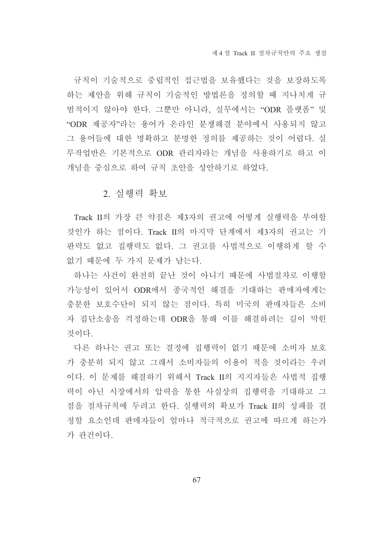규칙이 기술적으로 중립적인 접근법을 보유했다는 것을 보장하도록 하는 제안을 위해 규칙이 기술적인 방법론을 정의할 때 지나치게 규 범적이지 않아야 한다. 그뿐만 아니라, 실무에서는 "ODR 플랫폼" 및 "ODR 제공자"라는 용어가 온라인 분쟁해결 분야에서 사용되지 않고 그 용어들에 대한 명확하고 분명한 정의를 제공하는 것이 어렵다. 실 무작업반은 기본적으로 ODR 관리자라는 개념을 사용하기로 하고 이 개념을 중심으로 하여 규칙 초안을 성안하기로 하였다.

## 2. 실행력 확보

Track II의 가장 큰 약점은 제3자의 권고에 어떻게 실행력을 부여할 것인가 하는 점이다. Track II의 마지막 단계에서 제3자의 권고는 기 판력도 없고 집행력도 없다. 그 권고를 사법적으로 이행하게 할 수 없기 때문에 두 가지 문제가 남는다.

하나는 사건이 완전히 끝난 것이 아니기 때문에 사법절차로 이행할 가능성이 있어서 ODR에서 종국적인 해결을 기대하는 판매자에게는 충분한 보호수단이 되지 않는 점이다. 특히 미국의 판매자들은 소비 자 집단소송을 걱정하는데 ODR을 통해 이를 해결하려는 길이 막힌 것이다.

다른 하나는 권고 또는 결정에 집행력이 없기 때문에 소비자 보호 가 충분히 되지 않고 그래서 소비자들의 이용이 적을 것이라는 우려 이다. 이 문제를 해결하기 위해서 Track II의 지지자들은 사법적 집행 력이 아닌 시장에서의 압력을 통한 사실상의 집행력을 기대하고 그 점을 절차규칙에 두려고 한다. 실행력의 확보가 Track II의 성패를 결 정할 요소인데 판매자들이 얼마나 적극적으로 권고에 따르게 하는가 가 관건이다.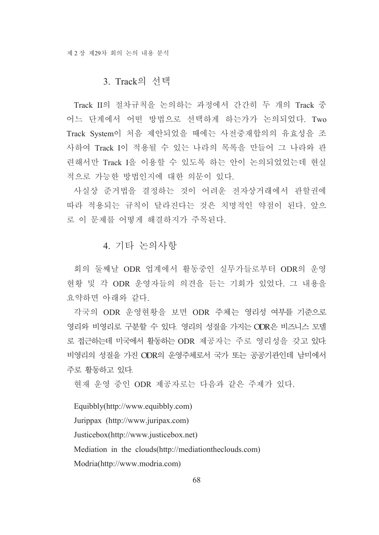# 3. Track의 서택

Track II의 절차규칙을 논의하는 과정에서 간간히 두 개의 Track 중 어느 단계에서 어떤 방법으로 선택하게 하는가가 논의되었다. Two Track System이 처음 제안되었을 때에는 사전중재합의의 유효성을 조 사하여 Track I이 적용될 수 있는 나라의 목록을 만들어 그 나라와 관 려해서만 Track I을 이용할 수 있도록 하는 안이 논의되었었는데 현실 적으로 가능한 방법인지에 대한 의문이 있다.

사실상 준거법을 결정하는 것이 어려운 전자상거래에서 관할권에 따라 적용되는 규칙이 달라진다는 것은 치명적인 약점이 된다. 앞으 로 이 문제를 어떻게 해결하지가 주목된다.

## 4. 기타 논의사항

회의 둘째날 ODR 업계에서 활동중인 실무가들로부터 ODR의 운영 현황 및 각 ODR 운영자들의 의견을 듣는 기회가 있었다. 그 내용을 요약하면 아래와 같다.

각국의 ODR 운영현황을 보면 ODR 주체는 영리성 여부를 기준으로 영리와 비영리로 구분할 수 있다. 영리의 성질을 가지는 ODR은 비즈니스 모델 로 접근하는데 미국에서 활동하는 ODR 제공자는 주로 영리성을 갖고 있다. 비영리의 성질을 가진 ODR의 운영주체로서 국가 또는 공공기관인데 남미에서 주로 활동하고 있다.

현재 운영 중인 ODR 제공자로는 다음과 같은 주제가 있다.

Equibbly(http://www.equibbly.com) Jurippax (http://www.juripax.com) Justicebox(http://www.justicebox.net) Mediation in the clouds(http://mediationtheclouds.com) Modria(http://www.modria.com)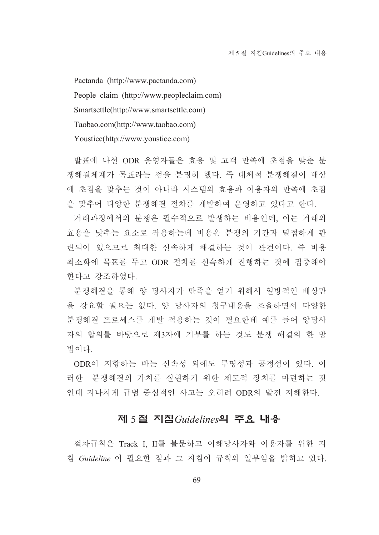Pactanda (http://www.pactanda.com) People claim (http://www.peopleclaim.com) Smartsettle(http://www.smartsettle.com) Taobao.com(http://www.taobao.com) Youstice(http://www.youstice.com)

발표에 나선 ODR 운영자들은 효용 및 고객 만족에 초점을 맞춘 분 쟁해결체계가 목표라는 점을 분명히 했다. 즉 대체적 분쟁해결이 배상 에 초점을 맞추는 것이 아니라 시스템의 효용과 이용자의 만족에 초점 을 맞추어 다양한 분쟁해결 절차를 개발하여 운영하고 있다고 한다.

거래과정에서의 분쟁은 필수적으로 발생하는 비용인데, 이는 거래의 효용을 낮추는 요소로 작용하는데 비용은 분쟁의 기간과 밀접하게 관 려되어 있으므로 최대한 신속하게 해결하는 것이 관건이다. 즉 비용 최소화에 목표를 두고 ODR 절차를 신속하게 진행하는 것에 집중해야 한다고 강조하였다.

분쟁해결을 통해 양 당사자가 만족을 얻기 위해서 일방적인 배상만 을 강요할 필요는 없다. 양 당사자의 청구내용을 조율하면서 다양한 분쟁해결 프로세스를 개발 적용하는 것이 필요한데 예를 들어 양당사 자의 합의를 바탕으로 제3자에 기부를 하는 것도 분쟁 해결의 한 방 법이다

ODR이 지향하는 바는 신속성 외에도 투명성과 공정성이 있다. 이 러한 분쟁해결의 가치를 실현하기 위한 제도적 장치를 마련하는 것 인데 지나치게 규범 중심적인 사고는 오히려 ODR의 발전 저해한다.

# 제 5절 지침 Guidelines의 주요 내용

절차규칙은 Track I, II를 불문하고 이해당사자와 이용자를 위한 지 침 Guideline 이 필요한 점과 그 지침이 규칙의 일부임을 밝히고 있다.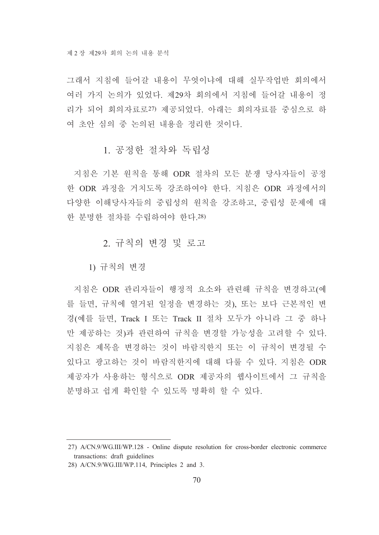그래서 지침에 들어갈 내용이 무엇이냐에 대해 실무작업반 회의에서 여러 가지 논의가 있었다. 제29차 회의에서 지침에 들어갈 내용이 정 리가 되어 회의자료로27) 제공되었다. 아래는 회의자료를 중심으로 하 여 초안 심의 중 논의된 내용을 정리한 것이다.

# 1 공정한 절차와 독립성

지침은 기본 원칙을 통해 ODR 절차의 모든 분쟁 당사자들이 공정 한 ODR 과정을 거치도록 강조하여야 한다. 지침은 ODR 과정에서의 다양한 이해당사자들의 중립성의 원칙을 강조하고, 중립성 문제에 대 한 분명한 절차를 수립하여야 한다.28)

## 2. 규칙의 변경 및 로고

1) 규칙의 변경

지침은 ODR 관리자들이 행정적 요소와 관련해 규칙을 변경하고(예 를 들면, 규칙에 열거된 일정을 변경하는 것). 또는 보다 근본적인 변 경(예를 들면, Track I 또는 Track II 절차 모두가 아니라 그 중 하나 만 제공하는 것)과 관련하여 규칙을 변경할 가능성을 고려할 수 있다. 지침은 제목을 변경하는 것이 바람직한지 또는 이 규칙이 변경될 수 있다고 광고하는 것이 바람직한지에 대해 다룰 수 있다. 지침은 ODR 제공자가 사용하는 형식으로 ODR 제공자의 웹사이트에서 그 규칙을 분명하고 쉽게 확인할 수 있도록 명확히 할 수 있다.

<sup>27)</sup> A/CN.9/WG.III/WP.128 - Online dispute resolution for cross-border electronic commerce transactions: draft guidelines

<sup>28)</sup> A/CN.9/WG.III/WP.114, Principles 2 and 3.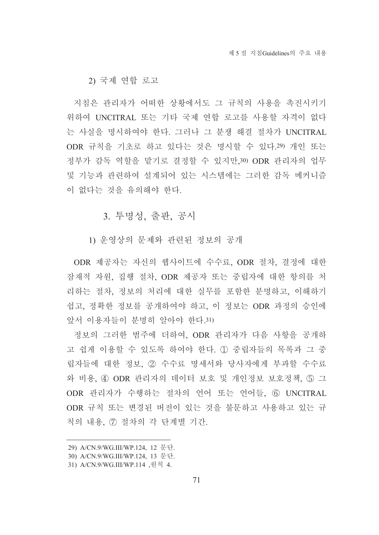2) 국제 연합 로고

지침은 관리자가 어떠한 상황에서도 그 규칙의 사용을 촉진시키기 위하여 UNCITRAL 또는 기타 국제 연합 로고를 사용할 자격이 없다 는 사실을 명시하여야 한다. 그러나 그 분쟁 해결 절차가 UNCITRAL ODR 규칙을 기초로 하고 있다는 것은 명시할 수 있다.29) 개인 또는 정부가 감독 역할을 맡기로 결정할 수 있지만,30) ODR 관리자의 업무 및 기능과 관련하여 설계되어 있는 시스템에는 그러한 감독 메커니즘 이 없다는 것을 유의해야 한다.

3. 투명성, 출판, 공시

1) 우영상의 문제와 관련된 정보의 공개

ODR 제공자는 자신의 웹사이트에 수수료, ODR 절차, 결정에 대한 잠재적 자워, 집행 절차, ODR 제공자 또는 중립자에 대한 항의를 처 리하는 절차, 정보의 처리에 대한 실무를 포함한 분명하고, 이해하기 쉽고, 정확한 정보를 공개하여야 하고, 이 정보는 ODR 과정의 승인에 앞서 이용자들이 분명히 알아야 한다.31)

정보의 그러한 범주에 더하여, ODR 관리자가 다음 사항을 공개하 고 쉽게 이용할 수 있도록 하여야 한다. ① 중립자들의 목록과 그 중 립자들에 대한 정보, 2 수수료 명세서와 당사자에게 부과할 수수료 와 비용, 4) ODR 관리자의 데이터 보호 및 개인정보 보호정책, 5) 그 ODR 관리자가 수행하는 절차의 언어 또는 언어들. 6 UNCITRAL ODR 규칙 또는 변경된 버전이 있는 것을 불문하고 사용하고 있는 규 칙의 내용, 7 절차의 각 단계별 기간.

<sup>29)</sup> A/CN.9/WG.III/WP.124, 12 문단.

<sup>30)</sup> A/CN.9/WG.III/WP.124, 13 문단.

<sup>31)</sup> A/CN.9/WG.III/WP.114 ,원칙 4.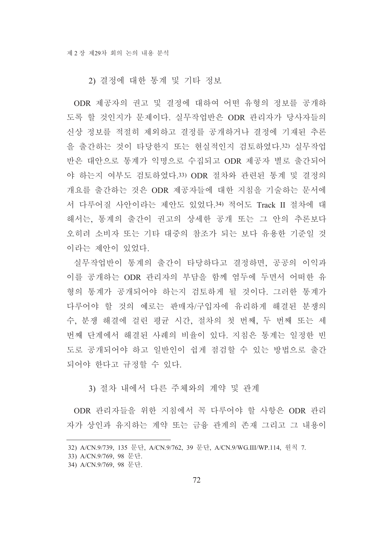### 2) 결정에 대한 통계 및 기타 정보

ODR 제공자의 권고 및 결정에 대하여 어떤 유형의 정보를 공개하 도록 할 것인지가 문제이다. 실무작업반은 ODR 관리자가 당사자들의 신상 정보를 적절히 제외하고 결정를 공개하거나 결정에 기재된 추론 을 출간하는 것이 타당한지 또는 현실적인지 검토하였다.32) 실무작업 반은 대안으로 통계가 익명으로 수집되고 ODR 제공자 별로 출간되어 야 하는지 여부도 검토하였다.33) ODR 절차와 관련된 통계 및 결정의 개요를 출간하는 것은 ODR 제공자들에 대한 지침을 기술하는 문서에 서 다루어질 사안이라는 제안도 있었다.34) 적어도 Track II 절차에 대 해서는, 통계의 출간이 권고의 상세한 공개 또는 그 안의 추론보다 오히려 소비자 또는 기타 대중의 참조가 되는 보다 유용한 기준일 것 이라는 제안이 있었다.

실무작업반이 통계의 출간이 타당하다고 결정하면, 공공의 이익과 이를 공개하는 ODR 관리자의 부담을 함께 염두에 두면서 어떠한 유 형의 통계가 공개되어야 하는지 검토하게 될 것이다. 그러한 통계가 다루어야 할 것의 예로는 판매자/구입자에 유리하게 해결된 분쟁의 수, 분쟁 해결에 걸린 평균 시간, 절차의 첫 번째, 두 번째 또는 세 번째 단계에서 해결된 사례의 비율이 있다. 지침은 통계는 일정한 빈 도로 공개되어야 하고 일반인이 쉽게 점검할 수 있는 방법으로 출간 되어야 한다고 규정할 수 있다.

### 3) 절차 내에서 다른 주체와의 계약 및 관계

ODR 관리자들을 위한 지침에서 꼭 다루어야 할 사항은 ODR 관리 자가 상인과 유지하는 계약 또는 금융 관계의 존재 그리고 그 내용이

<sup>32)</sup> A/CN.9/739, 135 문단, A/CN.9/762, 39 문단, A/CN.9/WG.III/WP.114, 원칙 7.

<sup>33)</sup> A/CN.9/769, 98 문단.

<sup>34)</sup> A/CN.9/769, 98 문단.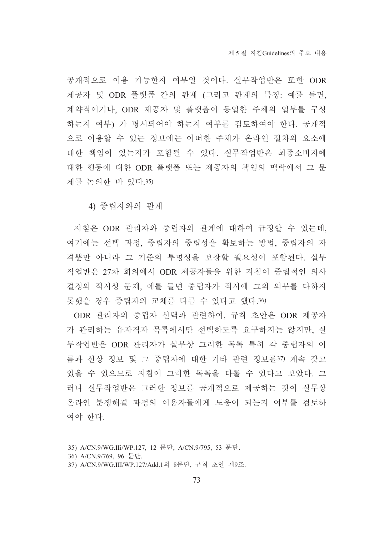공개적으로 이용 가능한지 여부일 것이다. 실무작업반은 또한 ODR 제공자 및 ODR 플랫폼 간의 관계 (그리고 관계의 특징: 예를 들면, 계약적이거나, ODR 제공자 및 플랫폼이 동일한 주체의 일부를 구성 하는지 여부) 가 명시되어야 하는지 여부를 검토하여야 한다. 공개적 으로 이용할 수 있는 정보에는 어떠한 주체가 온라인 절차의 요소에 대한 책임이 있는지가 포함될 수 있다. 실무작업반은 최종소비자에 대한 행동에 대한 ODR 플랫폼 또는 제공자의 책임의 맥락에서 그 문 제를 논의한 바 있다.35)

4) 중립자와의 관계

지침은 ODR 관리자와 중립자의 관계에 대하여 규정할 수 있는데, 여기에는 선택 과정, 중립자의 중립성을 확보하는 방법, 중립자의 자 격뿐만 아니라 그 기준의 투명성을 보장할 필요성이 포함된다. 실무 작업반은 27차 회의에서 ODR 제공자들을 위한 지침이 중립적인 의사 결정의 적시성 문제, 예를 들면 중립자가 적시에 그의 의무를 다하지 못했을 경우 중립자의 교체를 다를 수 있다고 했다.36)

ODR 관리자의 중립자 선택과 관련하여, 규칙 초안은 ODR 제공자 가 관리하는 유자격자 목록에서만 선택하도록 요구하지는 않지만, 실 무작업반은 ODR 관리자가 실무상 그러한 목록 특히 각 중립자의 이 름과 신상 정보 및 그 중립자에 대한 기타 관련 정보를37) 계속 갖고 있을 수 있으므로 지침이 그러한 목록을 다룰 수 있다고 보았다. 그 러나 실무작업반은 그러한 정보를 공개적으로 제공하는 것이 실무상 온라인 분쟁해결 과정의 이용자들에게 도움이 되는지 여부를 검토하 여야 한다.

<sup>35)</sup> A/CN.9/WG.IIi/WP.127, 12 문단, A/CN.9/795, 53 문단.

<sup>36)</sup> A/CN.9/769, 96 문단.

<sup>37)</sup> A/CN.9/WG.III/WP.127/Add.1의 8문단, 규칙 초안 제9조.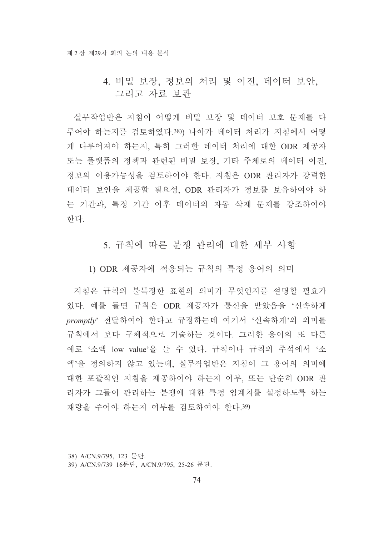# 4. 비밀 보장, 정보의 처리 및 이전, 데이터 보안, 그리고 자료 보관

실무작업반은 지침이 어떻게 비밀 보장 및 데이터 보호 문제를 다 루어야 하는지를 검토하였다.38)) 나아가 데이터 처리가 지침에서 어떻 게 다루어져야 하는지, 특히 그러한 데이터 처리에 대한 ODR 제공자 또는 플랫폼의 정책과 관련된 비밀 보장, 기타 주체로의 데이터 이전, 정보의 이용가능성을 검토하여야 한다. 지침은 ODR 관리자가 강력한 데이터 보안을 제공할 필요성, ODR 관리자가 정보를 보유하여야 하 는 기간과, 특정 기간 이후 데이터의 자동 삭제 문제를 강조하여야 한다.

5. 규칙에 따른 분쟁 과리에 대한 세부 사항

1) ODR 제공자에 적용되는 규칙의 특정 용어의 의미

지침은 규칙의 불특정한 표현의 의미가 무엇인지를 설명할 필요가 있다. 예를 들면 규칙은 ODR 제공자가 통신을 받았음을 '신속하게 promptlv' 전달하여야 한다고 규정하는데 여기서 '신속하게'의 의미를 규칙에서 보다 구체적으로 기술하는 것이다. 그러한 용어의 또 다른 예로 '소액 low value'을 들 수 있다. 규칙이나 규칙의 주석에서 '소 액'을 정의하지 않고 있는데, 실무작업반은 지침이 그 용어의 의미에 대한 포괄적인 지침을 제공하여야 하는지 여부, 또는 단순히 ODR 관 리자가 그들이 관리하는 분쟁에 대한 특정 임계치를 설정하도록 하는 재량을 주어야 하는지 여부를 검토하여야 한다.39)

<sup>38)</sup> A/CN.9/795, 123 문단.

<sup>39)</sup> A/CN.9/739 16문단, A/CN.9/795, 25-26 문단.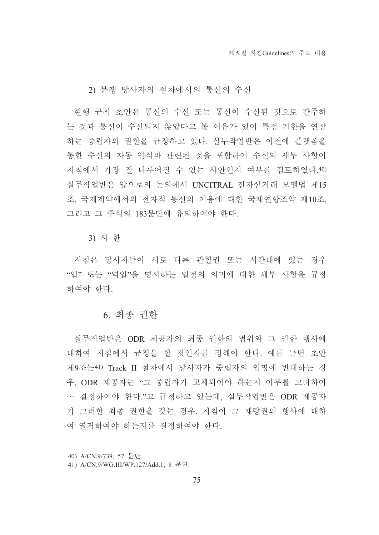2) 분쟁 당사자의 절차에서의 통신의 수신

현행 규칙 초안은 통신의 수신 또는 통신이 수신된 것으로 간주하 는 것과 통신이 수신되지 않았다고 볼 이유가 있어 특정 기한을 연장 하는 중립자의 권한을 규정하고 있다. 실무작업반은 이전에 플랫폼을 통한 수신의 자동 인식과 관련된 것을 포함하여 수신의 세부 사항이 지침에서 가장 잘 다루어질 수 있는 사안인지 여부를 검토하였다.40) 실무작업반은 앞으로의 논의에서 UNCITRAL 전자상거래 모델법 제15 조, 국제계약에서의 전자적 통신의 이용에 대한 국제연합조약 제10조, 그리고 그 주석의 183문단에 유의하여야 한다.

3) 시 한

지침은 당사자들이 서로 다른 관할권 또는 시간대에 있는 경우 "일" 또는 "역일"을 명시하는 일정의 의미에 대한 세부 사항을 규정 하여야 한다.

# 6. 최종 권한

실무작업반은 ODR 제공자의 최종 권한의 범위와 그 권한 행사에 대하여 지침에서 규정을 할 것인지를 정해야 한다. 예를 들면 초안 제9조는41) Track II 절차에서 당사자가 중립자의 임명에 반대하는 경 우, ODR 제공자는 "그 중립자가 교체되어야 하는지 여부를 고려하여 … 결정하여야 한다."고 규정하고 있는데, 실무작업반은 ODR 제공자 가 그러한 최종 권한을 갖는 경우, 지침이 그 재량권의 행사에 대하 여 열거하여야 하는지를 결정하여야 한다.

<sup>40)</sup> A/CN.9/739, 57 문단.

<sup>41)</sup> A/CN.9/WG.III/WP.127/Add.1, 8 문단.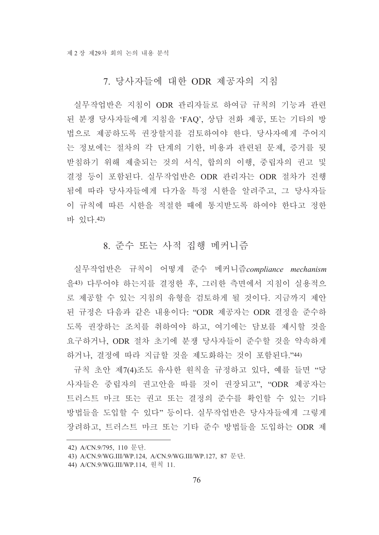# 7. 당사자들에 대한 ODR 제공자의 지침

실무작업반은 지침이 ODR 관리자들로 하여금 규칙의 기능과 관련 된 분쟁 당사자들에게 지침을 'FAQ', 상담 전화 제공, 또는 기타의 방 법으로 제공하도록 권장할지를 검토하여야 한다. 당사자에게 주어지 는 정보에는 절차의 각 단계의 기한, 비용과 관련된 문제, 증거를 뒷 받침하기 위해 제출되는 것의 서식, 합의의 이행, 중립자의 권고 및 결정 등이 포함된다. 실무작업반은 ODR 관리자는 ODR 절차가 진행 됨에 따라 당사자들에게 다가올 특정 시한을 알려주고, 그 당사자들 이 규칙에 따른 시한을 적절한 때에 통지받도록 하여야 한다고 정한 바 있다.42)

# 8. 준수 또는 사적 집행 메커니즘

실무작업반은 규칙이 어떻게 준수 메커니즘compliance mechanism 을43) 다루어야 하는지를 결정한 후, 그러한 측면에서 지침이 실용적으 로 제공할 수 있는 지침의 유형을 검토하게 될 것이다. 지금까지 제안 된 규정은 다음과 같은 내용이다: "ODR 제공자는 ODR 결정을 준수하 도록 권장하는 조치를 취하여야 하고, 여기에는 담보를 제시할 것을 요구하거나, ODR 절차 초기에 분쟁 당사자들이 준수할 것을 약속하게 하거나, 결정에 따라 지급할 것을 제도화하는 것이 포함된다."44)

규칙 초안 제7(4)조도 유사한 원칙을 규정하고 있다, 예를 들면 "당 사자들은 중립자의 권고안을 따를 것이 권장되고", "ODR 제공자는 트러스트 마크 또는 권고 또는 결정의 준수를 확인할 수 있는 기타 방법들을 도입할 수 있다" 등이다. 실무작업반은 당사자들에게 그렇게 장려하고, 트러스트 마크 또는 기타 준수 방법들을 도입하는 ODR 제

<sup>42)</sup> A/CN.9/795, 110 문단.

<sup>43)</sup> A/CN.9/WG.III/WP.124, A/CN.9/WG.III/WP.127, 87 문단.

<sup>44)</sup> A/CN.9/WG.III/WP.114, 원칙 11.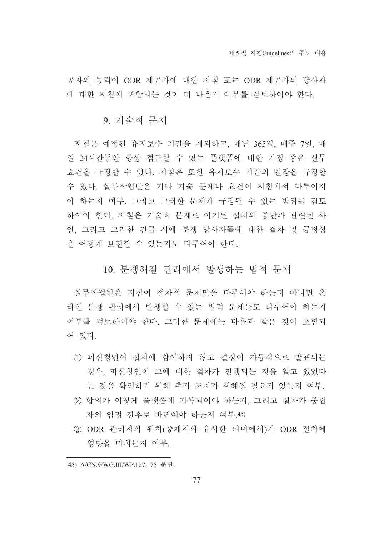공자의 능력이 ODR 제공자에 대한 지침 또는 ODR 제공자의 당사자 에 대한 지침에 포함되는 것이 더 나은지 여부를 검토하여야 한다.

#### 9. 기술적 문제

지침은 예정된 유지보수 기간을 제외하고, 매년 365일, 매주 7일, 매 일 24시간동안 항상 접근할 수 있는 플랫폼에 대한 가장 좋은 실무 요건을 규정할 수 있다. 지침은 또한 유지보수 기간의 연장을 규정할 수 있다. 실무작업반은 기타 기술 문제나 요건이 지침에서 다루어져 야 하는지 여부. 그리고 그러한 문제가 규정될 수 있는 범위를 검토 하여야 한다. 지침은 기술적 문제로 야기된 절차의 중단과 관련된 사 안, 그리고 그러한 긴급 시에 분쟁 당사자들에 대한 절차 및 공정성 을 어떻게 보전할 수 있는지도 다루어야 한다.

## 10. 분쟁해결 관리에서 발생하는 법적 문제

실무작업반은 지침이 절차적 문제만을 다루어야 하는지 아니면 온 라인 분쟁 관리에서 발생할 수 있는 법적 문제들도 다루어야 하는지 여부를 검토하여야 한다. 그러한 문제에는 다음과 같은 것이 포함되 어 있다.

- ① 피신청인이 절차에 참여하지 않고 결정이 자동적으로 발표되는 경우. 피신청인이 그에 대한 절차가 진행되는 것을 알고 있었다 는 것을 확인하기 위해 추가 조치가 취해질 필요가 있는지 여부.
- ② 합의가 어떻게 플랫폼에 기록되어야 하는지, 그리고 절차가 중립 자의 임명 전후로 바뀌어야 하는지 여부 45)
- 3 ODR 관리자의 위치(중재지와 유사한 의미에서)가 ODR 절차에 영향을 미치는지 여부.

<sup>45)</sup> A/CN.9/WG.III/WP.127, 75 문단.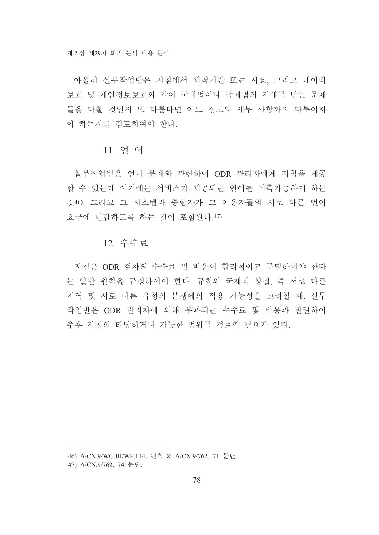아울러 실무작업반은 지침에서 제척기간 또는 시효, 그리고 데이터 보호 및 개인정보보호와 같이 국내법이나 국제법의 지배를 받는 문제 들을 다룰 것이지 또 다루다면 어느 정도의 세부 사항까지 다루어져 야 하는지를 검토하여야 한다.

#### 11. 언어

실무작업반은 언어 문제와 관련하여 ODR 관리자에게 지침을 제공 할 수 있는데 여기에는 서비스가 제공되는 언어를 예측가능하게 하는 것46). 그리고 그 시스템과 중립자가 그 이용자들의 서로 다른 언어 요구에 민감하도록 하는 것이 포함된다.47)

#### 12. 수수료

지침은 ODR 절차의 수수료 및 비용이 합리적이고 투명하여야 한다 는 일반 워칙을 규정하여야 한다. 규칙의 국제적 성질, 즉 서로 다른 지역 및 서로 다른 유형의 분쟁에의 적용 가능성을 고려할 때, 실무 작업반은 ODR 관리자에 의해 부과되는 수수료 및 비용과 관련하여 추후 지침의 타당하거나 가능한 범위를 검토할 필요가 있다.

<sup>46)</sup> A/CN.9/WG.III/WP.114, 워칙 8: A/CN.9/762, 71 문단.

<sup>47)</sup> A/CN.9/762, 74 문단.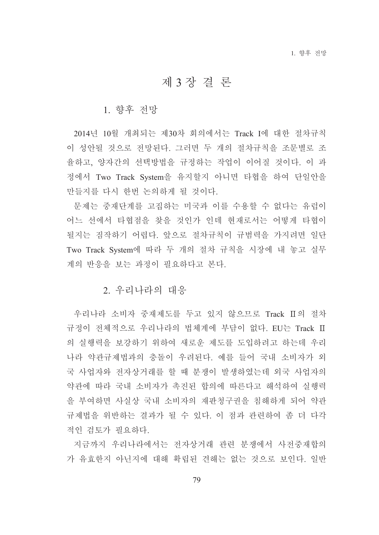# 제3장결론

#### 1. 향후 전망

2014년 10월 개최되는 제30차 회의에서는 Track I에 대한 절차규칙 이 성안될 것으로 전망된다. 그러면 두 개의 절차규칙을 조문별로 조 율하고, 양자간의 선택방법을 규정하는 작업이 이어질 것이다. 이 과 정에서 Two Track System을 유지할지 아니면 타협을 하여 단일안을 만들지를 다시 하번 논의하게 될 것이다.

문제는 중재단계를 고집하는 미국과 이를 수용할 수 없다는 유럽이 어느 선에서 타협점을 찾을 것인가 인데 현재로서는 어떻게 타협이 될지는 짐작하기 어렵다. 앞으로 절차규칙이 규범력을 가지려면 일단 Two Track System에 따라 두 개의 절차 규칙을 시장에 내 놓고 실무 계의 반응을 보는 과정이 필요하다고 본다.

## 2. 우리나라의 대응

우리나라 소비자 중재제도를 두고 있지 않으므로 Track Ⅱ의 절차 규정이 전체적으로 우리나라의 법체계에 부담이 없다. EU는 Track II 의 실행력을 보강하기 위하여 새로운 제도를 도입하려고 하는데 우리 나라 약관규제법과의 충돌이 우려된다. 예를 들어 국내 소비자가 외 국 사업자와 전자상거래를 할 때 분쟁이 발생하였는데 외국 사업자의 약관에 따라 국내 소비자가 촉진된 합의에 따른다고 해석하여 실행력 을 부여하면 사실상 국내 소비자의 재판청구권을 침해하게 되어 약관 규제법을 위반하는 결과가 될 수 있다. 이 점과 관련하여 좀 더 다각 적인 검토가 필요하다.

지금까지 우리나라에서는 전자상거래 관련 분쟁에서 사전중재합의 가 유효한지 아닌지에 대해 확립된 견해는 없는 것으로 보인다. 일반

79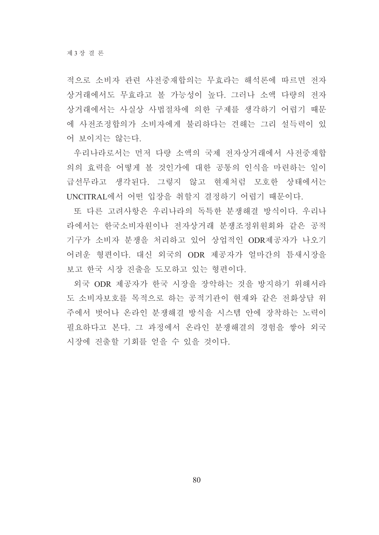적으로 소비자 관련 사전중재합의는 무효라는 해석론에 따르면 전자 상거래에서도 무효라고 볼 가능성이 높다. 그러나 소액 다량의 전자 상거래에서는 사실상 사법절차에 의한 구제를 생각하기 어렵기 때문 에 사전조정합의가 소비자에게 불리하다는 견해는 그리 설득력이 있 어 보이지는 않는다.

우리나라로서는 먼저 다량 소액의 국제 전자상거래에서 사전중재합 의의 효력을 어떻게 볼 것인가에 대한 공통의 인식을 마련하는 일이 급선무라고 생각된다. 그렇지 않고 현재처럼 모호한 상태에서는 UNCITRAL에서 어떤 입장을 취할지 결정하기 어렵기 때문이다.

또 다른 고려사항은 우리나라의 독특한 분쟁해결 방식이다. 우리나 라에서는 한국소비자원이나 전자상거래 분쟁조정위원회와 같은 공적 기구가 소비자 분쟁을 처리하고 있어 상업적인 ODR제공자가 나오기 어려운 형편이다. 대신 외국의 ODR 제공자가 얼마간의 틈새시장을 보고 한국 시장 진출을 도모하고 있는 형편이다.

외국 ODR 제공자가 한국 시장을 장악하는 것을 방지하기 위해서라 도 소비자보호를 목적으로 하는 공적기관이 현재와 같은 전화상담 위 주에서 벗어나 온라인 분쟁해결 방식을 시스템 안에 장착하는 노력이 필요하다고 본다. 그 과정에서 온라인 부쟁해결의 경험을 쌓아 외국 시장에 진출할 기회를 얻을 수 있을 것이다.

80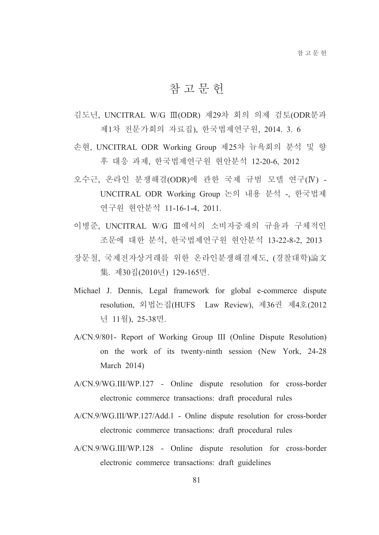# 참 고 무 헌

- 김도년, UNCITRAL W/G Ⅲ(ODR) 제29차 회의 의제 검토(ODR분과 제1차 전문가회의 자료집), 한국법제연구원, 2014. 3. 6
- 손현, UNCITRAL ODR Working Group 제25차 뉴욕회의 분석 및 향 후 대응 과제, 한국법제연구원 현안분석 12-20-6, 2012
- 오수근, 온라인 분쟁해결(ODR)에 관한 국제 규범 모델 연구(IV) -UNCITRAL ODR Working Group 논의 내용 분석 -, 한국법제 연구원 현안분석 11-16-1-4, 2011.
- 이병준, UNCITRAL W/G Ⅲ에서의 소비자중재의 규율과 구체적인 조문에 대한 분석, 한국법제연구원 현안분석 13-22-8-2, 2013
- 장문철, 국제전자상거래를 위한 온라인분쟁해결제도, (경찰대학)論文 集. 제30집(2010년) 129-165면.
- Michael J. Dennis, Legal framework for global e-commerce dispute resolution, 외법논집(HUFS Law Review), 제36권 제4호(2012 년 11월), 25-38면.
- A/CN.9/801- Report of Working Group III (Online Dispute Resolution) on the work of its twenty-ninth session (New York, 24-28) March  $2014$ )
- A/CN.9/WG.III/WP.127 Online dispute resolution for cross-border electronic commerce transactions: draft procedural rules
- A/CN.9/WG.III/WP.127/Add.1 Online dispute resolution for cross-border electronic commerce transactions: draft procedural rules
- A/CN.9/WG.III/WP.128 Online dispute resolution for cross-border electronic commerce transactions: draft guidelines